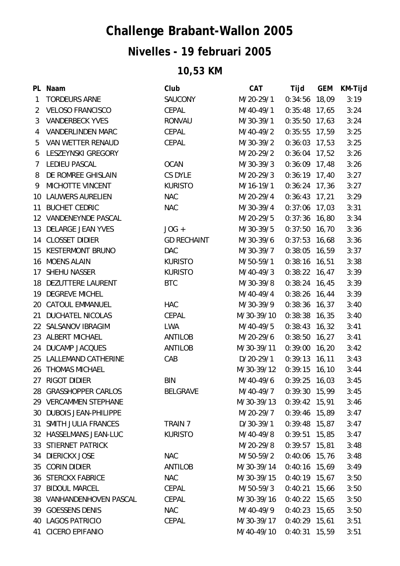## **Challenge Brabant-Wallon 2005**

## **Nivelles - 19 februari 2005**

## **10,53 KM**

|                 | PL Naam                   | Club               | <b>CAT</b>  | Tijd            | <b>GEM</b> | KM-Tijd |
|-----------------|---------------------------|--------------------|-------------|-----------------|------------|---------|
| $\mathbf{1}$    | <b>TORDEURS ARNE</b>      | SAUCONY            | M/20-29/1   | 0:34:56         | 18,09      | 3:19    |
| 2               | <b>VELOSO FRANCISCO</b>   | <b>CEPAL</b>       | M/40-49/1   | $0:35:48$ 17,65 |            | 3:24    |
| 3               | <b>VANDERBECK YVES</b>    | RONVAU             | M/30-39/1   | $0:35:50$ 17,63 |            | 3:24    |
| 4               | <b>VANDERLINDEN MARC</b>  | <b>CEPAL</b>       | M/40-49/2   | $0:35:55$ 17,59 |            | 3:25    |
| 5               | VAN WETTER RENAUD         | CEPAL              | M/30-39/2   | $0:36:03$ 17,53 |            | 3:25    |
| 6               | LESZEYNSKI GREGORY        |                    | M/20-29/2   | $0:36:04$ 17,52 |            | 3:26    |
| 7               | <b>LEDIEU PASCAL</b>      | <b>OCAN</b>        | M/30-39/3   | $0:36:09$ 17,48 |            | 3:26    |
| 8               | DE ROMREE GHISLAIN        | CS DYLE            | M/20-29/3   | $0:36:19$ 17,40 |            | 3:27    |
| 9               | MICHOTTE VINCENT          | <b>KURISTO</b>     | M/16-19/1   | $0:36:24$ 17,36 |            | 3:27    |
|                 | 10 LAUWERS AURELIEN       | <b>NAC</b>         | M/20-29/4   | $0:36:43$ 17,21 |            | 3:29    |
|                 | 11 BUCHET CEDRIC          | <b>NAC</b>         | M/30-39/4   | $0:37:06$ 17,03 |            | 3:31    |
|                 | 12 VANDENEYNDE PASCAL     |                    | M/20-29/5   | $0:37:36$ 16,80 |            | 3:34    |
|                 | 13 DELARGE JEAN YVES      | $JOG +$            | M/30-39/5   | $0:37:50$ 16,70 |            | 3:36    |
|                 | 14 CLOSSET DIDIER         | <b>GD RECHAINT</b> | M/30-39/6   | $0:37:53$ 16,68 |            | 3:36    |
| 15 <sub>1</sub> | <b>KESTERMONT BRUNO</b>   | <b>DAC</b>         | M/30-39/7   | $0:38:05$ 16,59 |            | 3:37    |
|                 | 16 MOENS ALAIN            | <b>KURISTO</b>     | M/50-59/1   | $0:38:16$ 16,51 |            | 3:38    |
| 17              | <b>SHEHU NASSER</b>       | <b>KURISTO</b>     | M/40-49/3   | $0:38:22$ 16,47 |            | 3:39    |
|                 | 18 DEZUTTERE LAURENT      | <b>BTC</b>         | M/30-39/8   | $0:38:24$ 16,45 |            | 3:39    |
|                 | 19 DEGREVE MICHEL         |                    | M/40-49/4   | $0:38:26$ 16,44 |            | 3:39    |
|                 | 20 CATOUL EMMANUEL        | HAC                | M/30-39/9   | $0:38:36$ 16,37 |            | 3:40    |
| 21              | <b>DUCHATEL NICOLAS</b>   | <b>CEPAL</b>       | M/30-39/10  | $0:38:38$ 16,35 |            | 3:40    |
|                 | 22 SALSANOV IBRAGIM       | <b>LWA</b>         | M/40-49/5   | $0:38:43$ 16,32 |            | 3:41    |
|                 | 23 ALBERT MICHAEL         | ANTILOB            | M/20-29/6   | $0:38:50$ 16,27 |            | 3:41    |
|                 | 24 DUCAMP JACQUES         | <b>ANTILOB</b>     | M/30-39/11  | $0:39:00$ 16,20 |            | 3:42    |
|                 | 25 LALLEMAND CATHERINE    | CAB                | $D/20-29/1$ | $0:39:13$ 16,11 |            | 3:43    |
|                 | 26 THOMAS MICHAEL         |                    | M/30-39/12  | $0:39:15$ 16,10 |            | 3:44    |
|                 | 27 RIGOT DIDIER           | <b>BIN</b>         | M/40-49/6   | 0:39:25         | 16,03      | 3:45    |
|                 | 28 GRASSHOPPER CARLOS     | <b>BELGRAVE</b>    | M/40-49/7   | $0:39:30$ 15,99 |            | 3:45    |
|                 | 29 VERCAMMEN STEPHANE     |                    | M/30-39/13  | $0:39:42$ 15,91 |            | 3:46    |
|                 | 30 DUBOIS JEAN-PHILIPPE   |                    | M/20-29/7   | $0:39:46$ 15,89 |            | 3:47    |
| 31              | SMITH JULIA FRANCES       | TRAIN 7            | $D/30-39/1$ | $0:39:48$ 15,87 |            | 3:47    |
|                 | 32 HASSELMANS JEAN-LUC    | <b>KURISTO</b>     | M/40-49/8   | 0:39:51         | 15,85      | 3:47    |
|                 | 33 STIERNET PATRICK       |                    | M/20-29/8   | $0:39:57$ 15,81 |            | 3:48    |
| 34              | <b>DIERICKX JOSE</b>      | <b>NAC</b>         | M/50-59/2   | $0:40:06$ 15,76 |            | 3:48    |
| 35              | <b>CORIN DIDIER</b>       | <b>ANTILOB</b>     | M/30-39/14  | $0:40:16$ 15,69 |            | 3:49    |
|                 | <b>36 STERCKX FABRICE</b> | <b>NAC</b>         | M/30-39/15  | $0:40:19$ 15,67 |            | 3:50    |
| 37              | <b>BIDOUL MARCEL</b>      | CEPAL              | M/50-59/3   | $0:40:21$ 15,66 |            | 3:50    |
| 38              | VANHANDENHOVEN PASCAL     | CEPAL              | M/30-39/16  | $0:40:22$ 15,65 |            | 3:50    |
|                 | 39 GOESSENS DENIS         | <b>NAC</b>         | M/40-49/9   | $0:40:23$ 15,65 |            | 3:50    |
|                 | 40 LAGOS PATRICIO         | CEPAL              | M/30-39/17  | $0:40:29$ 15,61 |            | 3:51    |
| 41              | CICERO EPIFANIO           |                    | M/40-49/10  | $0:40:31$ 15,59 |            | 3:51    |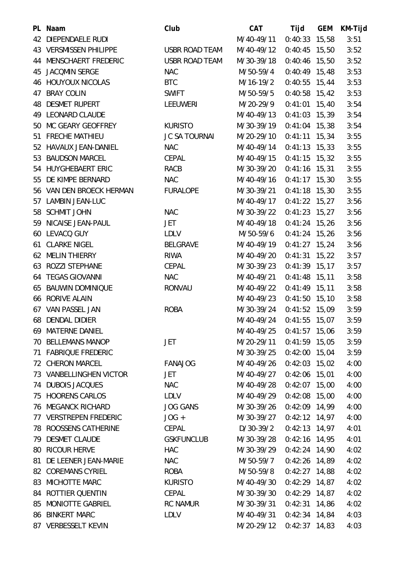| PL Naam                   | Club                 | <b>CAT</b>  | Tijd            | <b>GEM</b> | KM-Tijd |
|---------------------------|----------------------|-------------|-----------------|------------|---------|
| 42 DIEPENDAELE RUDI       |                      | M/40-49/11  | $0:40:33$ 15,58 |            | 3:51    |
| 43 VERSMISSEN PHILIPPE    | USBR ROAD TEAM       | M/40-49/12  | $0:40:45$ 15,50 |            | 3:52    |
| 44 MENSCHAERT FREDERIC    | USBR ROAD TEAM       | M/30-39/18  | $0:40:46$ 15,50 |            | 3:52    |
| 45 JACOMIN SERGE          | <b>NAC</b>           | M/50-59/4   | $0:40:49$ 15,48 |            | 3:53    |
| <b>46 HOUYOUX NICOLAS</b> | <b>BTC</b>           | M/16-19/2   | $0:40:55$ 15,44 |            | 3:53    |
| 47 BRAY COLIN             | <b>SWIFT</b>         | M/50-59/5   | $0:40:58$ 15,42 |            | 3:53    |
| <b>48 DESMET RUPERT</b>   | <b>LEEUWERI</b>      | M/20-29/9   | $0:41:01$ 15,40 |            | 3:54    |
| 49 LEONARD CLAUDE         |                      | M/40-49/13  | $0:41:03$ 15,39 |            | 3:54    |
| 50 MC GEARY GEOFFREY      | <b>KURISTO</b>       | M/30-39/19  | $0:41:04$ 15,38 |            | 3:54    |
| 51 FRECHE MATHIEU         | <b>JC SA TOURNAI</b> | M/20-29/10  | $0:41:11$ 15,34 |            | 3:55    |
| 52 HAVAUX JEAN-DANIEL     | <b>NAC</b>           | M/40-49/14  | $0:41:13$ 15,33 |            | 3:55    |
| 53 BAUDSON MARCEL         | CEPAL                | M/40-49/15  | $0:41:15$ 15,32 |            | 3:55    |
| 54 HUYGHEBAERT ERIC       | RACB                 | M/30-39/20  | $0:41:16$ 15,31 |            | 3:55    |
| 55 DE KIMPE BERNARD       | <b>NAC</b>           | M/40-49/16  | $0:41:17$ 15,30 |            | 3:55    |
| 56 VAN DEN BROECK HERMAN  | <b>FURALOPE</b>      | M/30-39/21  | $0:41:18$ 15,30 |            | 3:55    |
| 57 LAMBIN JEAN-LUC        |                      | M/40-49/17  | $0:41:22$ 15,27 |            | 3:56    |
| 58 SCHMIT JOHN            | <b>NAC</b>           | M/30-39/22  | $0:41:23$ 15,27 |            | 3:56    |
| 59 NICAISE JEAN-PAUL      | JET                  | M/40-49/18  | $0:41:24$ 15,26 |            | 3:56    |
| 60 LEVACQ GUY             | <b>LDLV</b>          | M/50-59/6   | $0:41:24$ 15,26 |            | 3:56    |
| <b>61 CLARKE NIGEL</b>    | <b>BELGRAVE</b>      | M/40-49/19  | $0:41:27$ 15,24 |            | 3:56    |
| 62 MELIN THIERRY          | <b>RIWA</b>          | M/40-49/20  | $0:41:31$ 15,22 |            | 3:57    |
| 63 ROZZI STEPHANE         | CEPAL                | M/30-39/23  | $0:41:39$ 15,17 |            | 3:57    |
| 64 TEGAS GIOVANNI         | <b>NAC</b>           | M/40-49/21  | $0:41:48$ 15,11 |            | 3:58    |
| 65 BAUWIN DOMINIQUE       | <b>RONVAU</b>        | M/40-49/22  | $0:41:49$ 15,11 |            | 3:58    |
| 66 RORIVE ALAIN           |                      | M/40-49/23  | $0:41:50$ 15,10 |            | 3:58    |
| 67 VAN PASSEL JAN         | <b>ROBA</b>          | M/30-39/24  | $0:41:52$ 15,09 |            | 3:59    |
| 68 DENDAL DIDIER          |                      | M/40-49/24  | $0:41:55$ 15,07 |            | 3:59    |
| 69 MATERNE DANIEL         |                      | M/40-49/25  | $0:41:57$ 15,06 |            | 3:59    |
| 70 BELLEMANS MANOP        | JET                  | M/20-29/11  | $0:41:59$ 15,05 |            | 3:59    |
| 71 FABRIQUE FREDERIC      |                      | M/30-39/25  | $0:42:00$ 15,04 |            | 3:59    |
| 72 CHERON MARCEL          | <b>FANAJOG</b>       | M/40-49/26  | $0:42:03$ 15,02 |            | 4:00    |
| 73 VANBELLINGHEN VICTOR   | JET                  | M/40-49/27  | $0:42:06$ 15,01 |            | 4:00    |
| 74 DUBOIS JACQUES         | <b>NAC</b>           | M/40-49/28  | $0:42:07$ 15,00 |            | 4:00    |
| 75 HOORENS CARLOS         | <b>LDLV</b>          | M/40-49/29  | $0:42:08$ 15,00 |            | 4:00    |
| <b>76 MEGANCK RICHARD</b> | <b>JOG GANS</b>      | M/30-39/26  | $0:42:09$ 14,99 |            | 4:00    |
| 77 VERSTREPEN FREDERIC    | $JOG +$              | M/30-39/27  | $0:42:12$ 14,97 |            | 4:00    |
| 78 ROOSSENS CATHERINE     | CEPAL                | $D/30-39/2$ | $0:42:13$ 14,97 |            | 4:01    |
| 79 DESMET CLAUDE          | <b>GSKFUNCLUB</b>    | M/30-39/28  | $0:42:16$ 14,95 |            | 4:01    |
| 80 RICOUR HERVE           | <b>HAC</b>           | M/30-39/29  | $0:42:24$ 14,90 |            | 4:02    |
| 81 DE LEENER JEAN-MARIE   | <b>NAC</b>           | M/50-59/7   | $0:42:26$ 14,89 |            | 4:02    |
| 82 COREMANS CYRIEL        | <b>ROBA</b>          | M/50-59/8   | $0:42:27$ 14,88 |            | 4:02    |
| 83 MICHOTTE MARC          | <b>KURISTO</b>       | M/40-49/30  | $0:42:29$ 14,87 |            | 4:02    |
| 84 ROTTIER QUENTIN        | CEPAL                | M/30-39/30  | $0:42:29$ 14,87 |            | 4:02    |
| 85 MONIOTTE GABRIEL       | <b>RC NAMUR</b>      | M/30-39/31  | $0:42:31$ 14,86 |            | 4:02    |
| 86 BINKERT MARC           | <b>LDLV</b>          | M/40-49/31  | $0:42:34$ 14,84 |            | 4:03    |
| 87 VERBESSELT KEVIN       |                      | M/20-29/12  | $0:42:37$ 14,83 |            | 4:03    |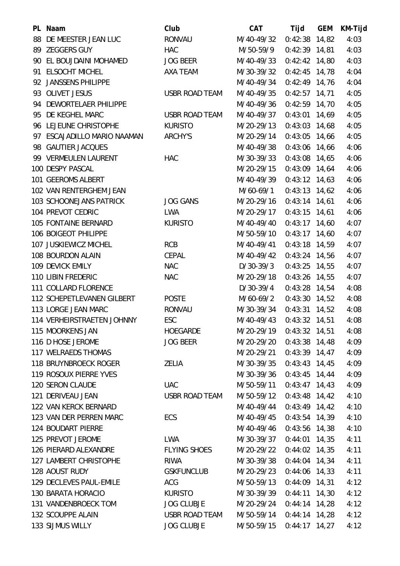| PL Naam                      | Club              | <b>CAT</b>  | Tijd            | <b>GEM</b> | KM-Tijd |
|------------------------------|-------------------|-------------|-----------------|------------|---------|
| 88 DE MEESTER JEAN LUC       | <b>RONVAU</b>     | M/40-49/32  | $0:42:38$ 14,82 |            | 4:03    |
| 89 ZEGGERS GUY               | <b>HAC</b>        | M/50-59/9   | $0:42:39$ 14,81 |            | 4:03    |
| 90 EL BOUJDAINI MOHAMED      | <b>JOG BEER</b>   | M/40-49/33  | $0:42:42$ 14,80 |            | 4:03    |
| 91 ELSOCHT MICHEL            | AXA TEAM          | M/30-39/32  | $0:42:45$ 14,78 |            | 4:04    |
| 92 JANSSENS PHILIPPE         |                   | M/40-49/34  | $0:42:49$ 14,76 |            | 4:04    |
| 93 OLIVET JESUS              | USBR ROAD TEAM    | M/40-49/35  | $0:42:57$ 14,71 |            | 4:05    |
| 94 DEWORTELAER PHILIPPE      |                   | M/40-49/36  | $0:42:59$ 14,70 |            | 4:05    |
| 95 DE KEGHEL MARC            | USBR ROAD TEAM    | M/40-49/37  | $0:43:01$ 14,69 |            | 4:05    |
| 96 LEJEUNE CHRISTOPHE        | <b>KURISTO</b>    | M/20-29/13  | $0:43:03$ 14,68 |            | 4:05    |
| 97 ESCAJADILLO MARIO NAAMAN  | ARCHY'S           | M/20-29/14  | $0:43:05$ 14,66 |            | 4:05    |
| 98 GAUTIER JACQUES           |                   | M/40-49/38  | $0:43:06$ 14,66 |            | 4:06    |
| 99 VERMEULEN LAURENT         | <b>HAC</b>        | M/30-39/33  | $0:43:08$ 14,65 |            | 4:06    |
| 100 DESPY PASCAL             |                   | M/20-29/15  | $0:43:09$ 14,64 |            | 4:06    |
| 101 GEEROMS ALBERT           |                   | M/40-49/39  | $0:43:12$ 14,63 |            | 4:06    |
| 102 VAN RENTERGHEM JEAN      |                   | M/60-69/1   | $0:43:13$ 14,62 |            | 4:06    |
| 103 SCHOONEJANS PATRICK      | <b>JOG GANS</b>   | M/20-29/16  | $0:43:14$ 14,61 |            | 4:06    |
| 104 PREVOT CEDRIC            | <b>LWA</b>        | M/20-29/17  | $0:43:15$ 14,61 |            | 4:06    |
| 105 FONTAINE BERNARD         | <b>KURISTO</b>    | M/40-49/40  | $0:43:17$ 14,60 |            | 4:07    |
| 106 BOIGEOT PHILIPPE         |                   | M/50-59/10  | $0:43:17$ 14,60 |            | 4:07    |
| 107 JUSKIEWICZ MICHEL        | <b>RCB</b>        | M/40-49/41  | $0:43:18$ 14,59 |            | 4:07    |
| 108 BOURDON ALAIN            | CEPAL             | M/40-49/42  | $0:43:24$ 14,56 |            | 4:07    |
| 109 DEVICK EMILY             | <b>NAC</b>        | $D/30-39/3$ | $0:43:25$ 14,55 |            | 4:07    |
| <b>110 LIBIN FREDERIC</b>    | <b>NAC</b>        | M/20-29/18  | $0:43:26$ 14,55 |            | 4:07    |
| 111 COLLARD FLORENCE         |                   | $D/30-39/4$ | $0:43:28$ 14,54 |            | 4:08    |
| 112 SCHEPETLEVANEN GILBERT   | <b>POSTE</b>      | M/60-69/2   | $0:43:30$ 14,52 |            | 4:08    |
| 113 LORGE JEAN MARC          | <b>RONVAU</b>     | M/30-39/34  | $0:43:31$ 14,52 |            | 4:08    |
| 114 VERHEIRSTRAETEN JOHNNY   | ESC               | M/40-49/43  | $0:43:32$ 14,51 |            | 4:08    |
| 115 MOORKENS JAN             | HOEGARDE          | M/20-29/19  | $0:43:32$ 14,51 |            | 4:08    |
| 116 D HOSE JEROME            | <b>JOG BEER</b>   | M/20-29/20  | $0:43:38$ 14,48 |            | 4:09    |
| 117 WELRAEDS THOMAS          |                   | M/20-29/21  | $0:43:39$ 14,47 |            | 4:09    |
| <b>118 BRUYNBROECK ROGER</b> | ZELIA             | M/30-39/35  | $0:43:43$ 14,45 |            | 4:09    |
| 119 ROSOUX PIERRE YVES       |                   | M/30-39/36  | $0:43:45$ 14,44 |            | 4:09    |
| 120 SERON CLAUDE             | <b>UAC</b>        | M/50-59/11  | $0:43:47$ 14,43 |            | 4:09    |
| 121 DERIVEAU JEAN            | USBR ROAD TEAM    | M/50-59/12  | $0:43:48$ 14,42 |            | 4:10    |
| 122 VAN KERCK BERNARD        |                   | M/40-49/44  | $0:43:49$ 14,42 |            | 4:10    |
| 123 VAN DER PERREN MARC      | <b>ECS</b>        | M/40-49/45  | $0:43:54$ 14,39 |            | 4:10    |
| 124 BOUDART PIERRE           |                   | M/40-49/46  | $0:43:56$ 14,38 |            | 4:10    |
| 125 PREVOT JEROME            | LWA               | M/30-39/37  | $0:44:01$ 14,35 |            | 4:11    |
| 126 PIERARD ALEXANDRE        | FLYING SHOES      | M/20-29/22  | $0:44:02$ 14,35 |            | 4:11    |
| 127 LAMBERT CHRISTOPHE       | RIWA              | M/30-39/38  | $0:44:04$ 14,34 |            | 4:11    |
| 128 AOUST RUDY               | <b>GSKFUNCLUB</b> | M/20-29/23  | $0:44:06$ 14,33 |            | 4:11    |
| 129 DECLEVES PAUL-EMILE      | ACG               | M/50-59/13  | $0:44:09$ 14,31 |            | 4:12    |
| 130 BARATA HORACIO           | KURISTO           | M/30-39/39  | $0:44:11$ 14,30 |            | 4:12    |
| 131 VANDENBROECK TOM         | <b>JOG CLUBJE</b> | M/20-29/24  | $0:44:14$ 14,28 |            | 4:12    |
| 132 SCOUPPE ALAIN            | USBR ROAD TEAM    | M/50-59/14  | $0:44:14$ 14,28 |            | 4:12    |
| 133 SIJMUS WILLY             | <b>JOG CLUBJE</b> | M/50-59/15  | $0:44:17$ 14,27 |            | 4:12    |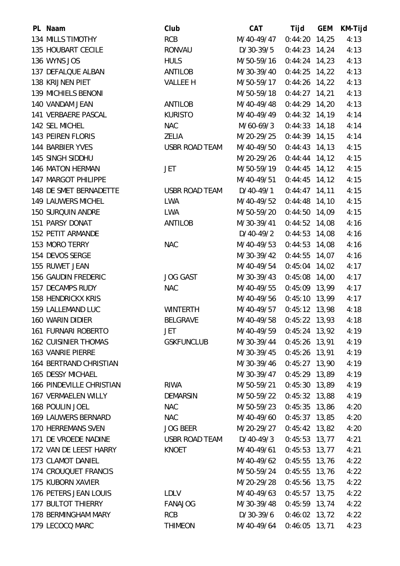| PL Naam                     | Club              | <b>CAT</b>  | Tijd            | <b>GEM</b> | KM-Tijd |
|-----------------------------|-------------------|-------------|-----------------|------------|---------|
| 134 MILLS TIMOTHY           | <b>RCB</b>        | M/40-49/47  | $0:44:20$ 14,25 |            | 4:13    |
| 135 HOUBART CECILE          | RONVAU            | D/30-39/5   | $0:44:23$ 14,24 |            | 4:13    |
| 136 WYNS JOS                | <b>HULS</b>       | M/50-59/16  | $0:44:24$ 14,23 |            | 4:13    |
| 137 DEFALQUE ALBAN          | ANTILOB           | M/30-39/40  | $0:44:25$ 14,22 |            | 4:13    |
| 138 KRIJNEN PIET            | <b>VALLEE H</b>   | M/50-59/17  | $0:44:26$ 14,22 |            | 4:13    |
| 139 MICHIELS BENONI         |                   | M/50-59/18  | $0:44:27$ 14,21 |            | 4:13    |
| 140 VANDAM JEAN             | ANTILOB           | M/40-49/48  | $0:44:29$ 14,20 |            | 4:13    |
| 141 VERBAERE PASCAL         | <b>KURISTO</b>    | M/40-49/49  | $0:44:32$ 14,19 |            | 4:14    |
| 142 SEL MICHEL              | <b>NAC</b>        | M/60-69/3   | $0:44:33$ 14,18 |            | 4:14    |
| 143 PEIREN FLORIS           | ZELIA             | M/20-29/25  | $0:44:39$ 14,15 |            | 4:14    |
| 144 BARBIER YVES            | USBR ROAD TEAM    | M/40-49/50  | $0:44:43$ 14,13 |            | 4:15    |
| 145 SINGH SIDDHU            |                   | M/20-29/26  | $0:44:44$ 14,12 |            | 4:15    |
| 146 MATON HERMAN            | <b>JET</b>        | M/50-59/19  | $0:44:45$ 14,12 |            | 4:15    |
| 147 MARGOT PHILIPPE         |                   | M/40-49/51  | $0:44:45$ 14,12 |            | 4:15    |
| 148 DE SMET BERNADETTE      | USBR ROAD TEAM    | D/40-49/1   | $0:44:47$ 14,11 |            | 4:15    |
| 149 LAUWERS MICHEL          | LWA               | M/40-49/52  | $0:44:48$ 14,10 |            | 4:15    |
| <b>150 SURQUIN ANDRE</b>    | LWA               | M/50-59/20  | $0:44:50$ 14,09 |            | 4:15    |
| 151 PARSY DONAT             | ANTILOB           | M/30-39/41  | $0:44:52$ 14,08 |            | 4:16    |
| 152 PETIT ARMANDE           |                   | $D/40-49/2$ | $0:44:53$ 14,08 |            | 4:16    |
| 153 MORO TERRY              | <b>NAC</b>        | M/40-49/53  | $0:44:53$ 14,08 |            | 4:16    |
| 154 DEVOS SERGE             |                   | M/30-39/42  | $0:44:55$ 14,07 |            | 4:16    |
| 155 RUWET JEAN              |                   | M/40-49/54  | $0:45:04$ 14,02 |            | 4:17    |
| <b>156 GAUDIN FREDERIC</b>  | <b>JOG GAST</b>   | M/30-39/43  | $0:45:08$ 14,00 |            | 4:17    |
| 157 DECAMPS RUDY            | <b>NAC</b>        | M/40-49/55  | $0:45:09$ 13,99 |            | 4:17    |
| <b>158 HENDRICKX KRIS</b>   |                   | M/40-49/56  | $0:45:10$ 13,99 |            | 4:17    |
| 159 LALLEMAND LUC           | <b>WINTERTH</b>   | M/40-49/57  | $0:45:12$ 13,98 |            | 4:18    |
| <b>160 WARIN DIDIER</b>     | <b>BELGRAVE</b>   | M/40-49/58  | $0:45:22$ 13,93 |            | 4:18    |
| <b>161 FURNARI ROBERTO</b>  | <b>JET</b>        | M/40-49/59  | 0:45:24 13,92   |            | 4:19    |
| <b>162 CUISINIER THOMAS</b> | <b>GSKFUNCLUB</b> | M/30-39/44  | $0:45:26$ 13,91 |            | 4:19    |
| <b>163 VANRIE PIERRE</b>    |                   | M/30-39/45  | $0:45:26$ 13,91 |            | 4:19    |
| 164 BERTRAND CHRISTIAN      |                   | M/30-39/46  | $0:45:27$ 13,90 |            | 4:19    |
| 165 DESSY MICHAEL           |                   | M/30-39/47  | $0:45:29$ 13,89 |            | 4:19    |
| 166 PINDEVILLE CHRISTIAN    | <b>RIWA</b>       | M/50-59/21  | $0:45:30$ 13,89 |            | 4:19    |
| <b>167 VERMAELEN WILLY</b>  | DEMARSIN          | M/50-59/22  | $0:45:32$ 13,88 |            | 4:19    |
| 168 POULIN JOEL             | <b>NAC</b>        | M/50-59/23  | $0:45:35$ 13,86 |            | 4:20    |
| 169 LAUWERS BERNARD         | <b>NAC</b>        | M/40-49/60  | $0:45:37$ 13,85 |            | 4:20    |
| 170 HERREMANS SVEN          | JOG BEER          | M/20-29/27  | $0:45:42$ 13,82 |            | 4:20    |
| 171 DE VROEDE NADINE        | USBR ROAD TEAM    | D/40-49/3   | $0:45:53$ 13,77 |            | 4:21    |
| 172 VAN DE LEEST HARRY      | KNOET             | M/40-49/61  | $0:45:53$ 13,77 |            | 4:21    |
| 173 CLAMOT DANIEL           |                   | M/40-49/62  | $0:45:55$ 13,76 |            | 4:22    |
| 174 CROUQUET FRANCIS        |                   | M/50-59/24  | $0:45:55$ 13,76 |            | 4:22    |
| 175 KUBORN XAVIER           |                   | M/20-29/28  | $0:45:56$ 13,75 |            | 4:22    |
| 176 PETERS JEAN LOUIS       | LDLV              | M/40-49/63  | $0:45:57$ 13,75 |            | 4:22    |
| <b>177 BULTOT THIERRY</b>   | FANAJOG           | M/30-39/48  | $0:45:59$ 13,74 |            | 4:22    |
| 178 BERMINGHAM MARY         | <b>RCB</b>        | D/30-39/6   | $0:46:02$ 13,72 |            | 4:22    |
| 179 LECOCQ MARC             | <b>THIMEON</b>    | M/40-49/64  | $0:46:05$ 13,71 |            | 4:23    |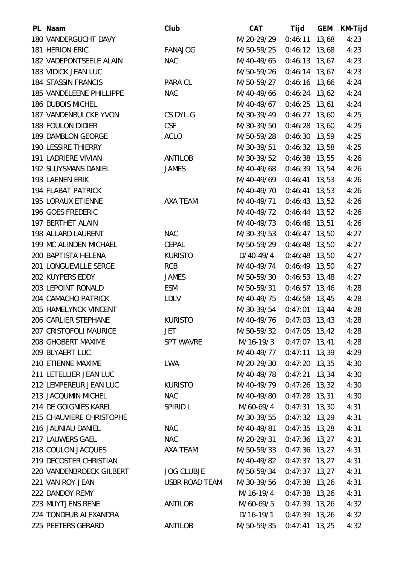| PL Naam                    | Club                  | <b>CAT</b> | Tijd            | <b>GEM</b> | KM-Tijd |
|----------------------------|-----------------------|------------|-----------------|------------|---------|
| 180 VANDERGUCHT DAVY       |                       | M/20-29/29 | $0:46:11$ 13,68 |            | 4:23    |
| 181 HERION ERIC            | <b>FANAJOG</b>        | M/50-59/25 | $0:46:12$ 13,68 |            | 4:23    |
| 182 VADEPONTSEELE ALAIN    | <b>NAC</b>            | M/40-49/65 | $0:46:13$ 13,67 |            | 4:23    |
| 183 VIDICK JEAN LUC        |                       | M/50-59/26 | $0:46:14$ 13,67 |            | 4:23    |
| <b>184 STASSIN FRANCIS</b> | PARA CL               | M/50-59/27 | $0:46:16$ 13,66 |            | 4:24    |
| 185 VANDELEENE PHILLIPPE   | <b>NAC</b>            | M/40-49/66 | $0:46:24$ 13,62 |            | 4:24    |
| 186 DUBOIS MICHEL          |                       | M/40-49/67 | $0:46:25$ 13,61 |            | 4:24    |
| 187 VANDENBULCKE YVON      | CS DYL.G              | M/30-39/49 | $0:46:27$ 13,60 |            | 4:25    |
| 188 FOULON DIDIER          | <b>CSF</b>            | M/30-39/50 | $0:46:28$ 13,60 |            | 4:25    |
| 189 DAMBLON GEORGE         | <b>ACLO</b>           | M/50-59/28 | $0:46:30$ 13,59 |            | 4:25    |
| <b>190 LESSIRE THIERRY</b> |                       | M/30-39/51 | $0:46:32$ 13,58 |            | 4:25    |
| <b>191 LADRIERE VIVIAN</b> | <b>ANTILOB</b>        | M/30-39/52 | $0:46:38$ 13,55 |            | 4:26    |
| 192 SLUYSMANS DANIEL       | <b>JAMES</b>          | M/40-49/68 | $0:46:39$ 13,54 |            | 4:26    |
| 193 LAENEN ERIK            |                       | M/40-49/69 | $0:46:41$ 13,53 |            | 4:26    |
| <b>194 FLABAT PATRICK</b>  |                       | M/40-49/70 | $0:46:41$ 13,53 |            | 4:26    |
| <b>195 LORAUX ETIENNE</b>  | AXA TEAM              | M/40-49/71 | $0:46:43$ 13,52 |            | 4:26    |
| 196 GOES FREDERIC          |                       | M/40-49/72 | $0:46:44$ 13,52 |            | 4:26    |
| 197 BERTHET ALAIN          |                       | M/40-49/73 | $0:46:46$ 13,51 |            | 4:26    |
| 198 ALLARD LAURENT         | <b>NAC</b>            | M/30-39/53 | $0:46:47$ 13,50 |            | 4:27    |
| 199 MC ALINDEN MICHAEL     | CEPAL                 | M/50-59/29 | $0:46:48$ 13,50 |            | 4:27    |
| 200 BAPTISTA HELENA        | <b>KURISTO</b>        | D/40-49/4  | $0:46:48$ 13,50 |            | 4:27    |
| 201 LONGUEVILLE SERGE      | <b>RCB</b>            | M/40-49/74 | $0:46:49$ 13,50 |            | 4:27    |
| 202 KUYPERS EDDY           | <b>JAMES</b>          | M/50-59/30 | $0:46:53$ 13,48 |            | 4:27    |
| 203 LEPOINT RONALD         | ESM                   | M/50-59/31 | $0:46:57$ 13,46 |            | 4:28    |
| 204 CAMACHO PATRICK        | <b>LDLV</b>           | M/40-49/75 | $0:46:58$ 13,45 |            | 4:28    |
| 205 HAMELYNCK VINCENT      |                       | M/30-39/54 | $0:47:01$ 13,44 |            | 4:28    |
| 206 CARLIER STEPHANE       | <b>KURISTO</b>        | M/40-49/76 | $0:47:03$ 13,43 |            | 4:28    |
| 207 CRISTOFOLI MAURICE     | <b>JET</b>            | M/50-59/32 | $0:47:05$ 13,42 |            | 4:28    |
| 208 GHOBERT MAXIME         | <b>SPT WAVRE</b>      | M/16-19/3  | $0:47:07$ 13,41 |            | 4:28    |
| 209 BLYAERT LUC            |                       | M/40-49/77 | $0:47:11$ 13,39 |            | 4:29    |
| 210 ETIENNE MAXIME         | LWA                   | M/20-29/30 | $0:47:20$ 13,35 |            | 4:30    |
| 211 LETELLIER JEAN LUC     |                       | M/40-49/78 | $0:47:21$ 13,34 |            | 4:30    |
| 212 LEMPEREUR JEAN LUC     | <b>KURISTO</b>        | M/40-49/79 | $0:47:26$ 13,32 |            | 4:30    |
| 213 JACQUMIN MICHEL        | <b>NAC</b>            | M/40-49/80 | $0:47:28$ 13,31 |            | 4:30    |
| 214 DE GOIGNIES KAREL      | <b>SPIRID L</b>       | M/60-69/4  | $0:47:31$ 13,30 |            | 4:31    |
| 215 CHAUVIERE CHRISTOPHE   |                       | M/30-39/55 | $0:47:32$ 13,29 |            | 4:31    |
| 216 JAUNIAU DANIEL         | <b>NAC</b>            | M/40-49/81 | $0:47:35$ 13,28 |            | 4:31    |
| 217 LAUWERS GAEL           | <b>NAC</b>            | M/20-29/31 | $0:47:36$ 13,27 |            | 4:31    |
| 218 COULON JACQUES         | AXA TEAM              | M/50-59/33 | $0:47:36$ 13,27 |            | 4:31    |
| 219 DECOSTER CHRISTIAN     |                       | M/40-49/82 | $0:47:37$ 13,27 |            | 4:31    |
| 220 VANDENBROECK GILBERT   | <b>JOG CLUBJE</b>     | M/50-59/34 | $0:47:37$ 13,27 |            | 4:31    |
| 221 VAN ROY JEAN           | <b>USBR ROAD TEAM</b> | M/30-39/56 | $0:47:38$ 13,26 |            | 4:31    |
| 222 DANDOY REMY            |                       | M/16-19/4  | $0:47:38$ 13,26 |            | 4:31    |
| 223 MUYTJENS RENE          | ANTILOB               | M/60-69/5  | $0:47:39$ 13,26 |            | 4:32    |
| 224 TONDEUR ALEXANDRA      |                       | D/16-19/1  | $0:47:39$ 13,26 |            | 4:32    |
| 225 PEETERS GERARD         | ANTILOB               | M/50-59/35 | $0:47:41$ 13,25 |            | 4:32    |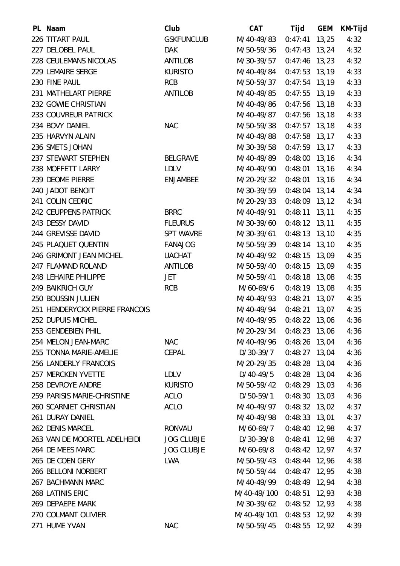| PL Naam                        | Club              | CAT         | Tijd            | GEM | KM-Tijd |
|--------------------------------|-------------------|-------------|-----------------|-----|---------|
| 226 TITART PAUL                | <b>GSKFUNCLUB</b> | M/40-49/83  | $0:47:41$ 13,25 |     | 4:32    |
| 227 DELOBEL PAUL               | <b>DAK</b>        | M/50-59/36  | $0:47:43$ 13,24 |     | 4:32    |
| 228 CEULEMANS NICOLAS          | ANTILOB           | M/30-39/57  | $0:47:46$ 13,23 |     | 4:32    |
| 229 LEMAIRE SERGE              | <b>KURISTO</b>    | M/40-49/84  | $0:47:53$ 13,19 |     | 4:33    |
| 230 FINE PAUL                  | <b>RCB</b>        | M/50-59/37  | $0:47:54$ 13,19 |     | 4:33    |
| 231 MATHELART PIERRE           | ANTILOB           | M/40-49/85  | $0:47:55$ 13,19 |     | 4:33    |
| 232 GOWIE CHRISTIAN            |                   | M/40-49/86  | $0:47:56$ 13,18 |     | 4:33    |
| 233 COUVREUR PATRICK           |                   | M/40-49/87  | $0:47:56$ 13,18 |     | 4:33    |
| 234 BOVY DANIEL                | <b>NAC</b>        | M/50-59/38  | $0:47:57$ 13,18 |     | 4:33    |
| 235 HARVYN ALAIN               |                   | M/40-49/88  | $0:47:58$ 13,17 |     | 4:33    |
| 236 SMETS JOHAN                |                   | M/30-39/58  | $0:47:59$ 13,17 |     | 4:33    |
| 237 STEWART STEPHEN            | <b>BELGRAVE</b>   | M/40-49/89  | $0:48:00$ 13,16 |     | 4:34    |
| 238 MOFFETT LARRY              | LDLV              | M/40-49/90  | $0:48:01$ 13,16 |     | 4:34    |
| 239 DEOME PIERRE               | <b>ENJAMBEE</b>   | M/20-29/32  | $0:48:01$ 13,16 |     | 4:34    |
| 240 JADOT BENOIT               |                   | M/30-39/59  | $0:48:04$ 13,14 |     | 4:34    |
| 241 COLIN CEDRIC               |                   | M/20-29/33  | $0:48:09$ 13,12 |     | 4:34    |
| 242 CEUPPENS PATRICK           | <b>BRRC</b>       | M/40-49/91  | $0:48:11$ 13,11 |     | 4:35    |
| 243 DESSY DAVID                | <b>FLEURUS</b>    | M/30-39/60  | $0:48:12$ 13,11 |     | 4:35    |
| 244 GREVISSE DAVID             | <b>SPT WAVRE</b>  | M/30-39/61  | $0:48:13$ 13,10 |     | 4:35    |
| 245 PLAQUET QUENTIN            | <b>FANAJOG</b>    | M/50-59/39  | $0:48:14$ 13,10 |     | 4:35    |
| 246 GRIMONT JEAN MICHEL        | <b>UACHAT</b>     | M/40-49/92  | $0:48:15$ 13,09 |     | 4:35    |
| 247 FLAMAND ROLAND             | ANTILOB           | M/50-59/40  | $0:48:15$ 13,09 |     | 4:35    |
| 248 LEHAIRE PHILIPPE           | JET               | M/50-59/41  | $0:48:18$ 13,08 |     | 4:35    |
| <b>249 BAIKRICH GUY</b>        | <b>RCB</b>        | M/60-69/6   | $0:48:19$ 13,08 |     | 4:35    |
| 250 BOUSSIN JULIEN             |                   | M/40-49/93  | $0:48:21$ 13,07 |     | 4:35    |
| 251 HENDERYCKX PIERRE FRANCOIS |                   | M/40-49/94  | $0:48:21$ 13,07 |     | 4:35    |
| 252 DUPUIS MICHEL              |                   | M/40-49/95  | $0:48:22$ 13,06 |     | 4:36    |
| 253 GENDEBIEN PHIL             |                   | M/20-29/34  | $0:48:23$ 13,06 |     | 4:36    |
| 254 MELON JEAN-MARC            | <b>NAC</b>        | M/40-49/96  | $0:48:26$ 13,04 |     | 4:36    |
| 255 TONNA MARIE-AMELIE         | <b>CEPAL</b>      | D/30-39/7   | $0:48:27$ 13,04 |     | 4:36    |
| 256 LANDERLY FRANCOIS          |                   | M/20-29/35  | $0:48:28$ 13,04 |     | 4:36    |
| 257 MERCKEN YVETTE             | <b>LDLV</b>       | $D/40-49/5$ | $0:48:28$ 13,04 |     | 4:36    |
| 258 DEVROYE ANDRE              | <b>KURISTO</b>    | M/50-59/42  | $0:48:29$ 13,03 |     | 4:36    |
| 259 PARISIS MARIE-CHRISTINE    | <b>ACLO</b>       | D/50-59/1   | $0:48:30$ 13,03 |     | 4:36    |
| 260 SCARNIET CHRISTIAN         | <b>ACLO</b>       | M/40-49/97  | $0:48:32$ 13,02 |     | 4:37    |
| 261 DURAY DANIEL               |                   | M/40-49/98  | $0:48:33$ 13,01 |     | 4:37    |
| 262 DENIS MARCEL               | <b>RONVAU</b>     | M/60-69/7   | $0:48:40$ 12,98 |     | 4:37    |
| 263 VAN DE MOORTEL ADELHEIDI   | <b>JOG CLUBJE</b> | D/30-39/8   | $0:48:41$ 12,98 |     | 4:37    |
| 264 DE MEES MARC               | <b>JOG CLUBJE</b> | M/60-69/8   | $0:48:42$ 12,97 |     | 4:37    |
| 265 DE COEN GERY               | <b>LWA</b>        | M/50-59/43  | $0:48:44$ 12,96 |     | 4:38    |
| 266 BELLONI NORBERT            |                   | M/50-59/44  | $0:48:47$ 12,95 |     | 4:38    |
| 267 BACHMANN MARC              |                   | M/40-49/99  | $0:48:49$ 12,94 |     | 4:38    |
| 268 LATINIS ERIC               |                   | M/40-49/100 | 0:48:51 12,93   |     | 4:38    |
| 269 DEPAEPE MARK               |                   | M/30-39/62  | $0:48:52$ 12,93 |     | 4:38    |
| 270 COLMANT OLIVIER            |                   | M/40-49/101 | 0:48:53 12,92   |     | 4:39    |
| 271 HUME YVAN                  | <b>NAC</b>        | M/50-59/45  | $0:48:55$ 12,92 |     | 4:39    |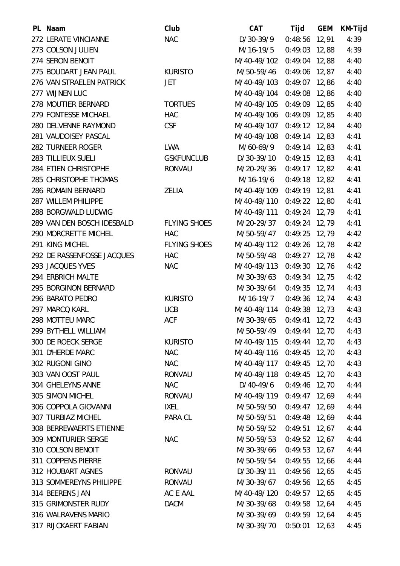| PL Naam                    | Club                | <b>CAT</b>                | Tijd            | <b>GEM</b> | KM-Tijd |
|----------------------------|---------------------|---------------------------|-----------------|------------|---------|
| 272 LERATE VINCIANNE       | <b>NAC</b>          | D/30-39/9                 | $0:48:56$ 12,91 |            | 4:39    |
| 273 COLSON JULIEN          |                     | M/16-19/5                 | $0:49:03$ 12,88 |            | 4:39    |
| 274 SERON BENOIT           |                     | M/40-49/102 0:49:04 12,88 |                 |            | 4:40    |
| 275 BOUDART JEAN PAUL      | <b>KURISTO</b>      | M/50-59/46                | $0:49:06$ 12,87 |            | 4:40    |
| 276 VAN STRAELEN PATRICK   | <b>JET</b>          | M/40-49/103 0:49:07 12,86 |                 |            | 4:40    |
| 277 WIJNEN LUC             |                     | M/40-49/104               | 0:49:08 12,86   |            | 4:40    |
| 278 MOUTIER BERNARD        | <b>TORTUES</b>      | M/40-49/105               | $0:49:09$ 12,85 |            | 4:40    |
| 279 FONTESSE MICHAEL       | <b>HAC</b>          | M/40-49/106 0:49:09 12,85 |                 |            | 4:40    |
| 280 DELVENNE RAYMOND       | <b>CSF</b>          | M/40-49/107               | $0:49:12$ 12,84 |            | 4:40    |
| 281 VAUDOISEY PASCAL       |                     | M/40-49/108               | 0:49:14 12,83   |            | 4:41    |
| 282 TURNEER ROGER          | <b>LWA</b>          | M/60-69/9                 | $0:49:14$ 12,83 |            | 4:41    |
| 283 TILLIEUX SUELI         | <b>GSKFUNCLUB</b>   | D/30-39/10                | $0:49:15$ 12,83 |            | 4:41    |
| 284 ETIEN CHRISTOPHE       | <b>RONVAU</b>       | M/20-29/36                | $0:49:17$ 12,82 |            | 4:41    |
| 285 CHRISTOPHE THOMAS      |                     | M/16-19/6                 | $0:49:18$ 12,82 |            | 4:41    |
| 286 ROMAIN BERNARD         | <b>ZELIA</b>        | M/40-49/109 0:49:19 12,81 |                 |            | 4:41    |
| 287 WILLEM PHILIPPE        |                     | M/40-49/110               | $0:49:22$ 12,80 |            | 4:41    |
| 288 BORGWALD LUDWIG        |                     | M/40-49/111               | $0:49:24$ 12,79 |            | 4:41    |
| 289 VAN DEN BOSCH IDESBALD | <b>FLYING SHOES</b> | M/20-29/37                | $0:49:24$ 12,79 |            | 4:41    |
| 290 MORCRETTE MICHEL       | HAC                 | M/50-59/47                | $0:49:25$ 12,79 |            | 4:42    |
| 291 KING MICHEL            | <b>FLYING SHOES</b> | M/40-49/112 0:49:26 12,78 |                 |            | 4:42    |
| 292 DE RASSENFOSSE JACQUES | <b>HAC</b>          | M/50-59/48                | $0:49:27$ 12,78 |            | 4:42    |
| 293 JACQUES YVES           | <b>NAC</b>          | M/40-49/113               | 0:49:30 12,76   |            | 4:42    |
| 294 ERBRICH MALTE          |                     | M/30-39/63                | $0:49:34$ 12,75 |            | 4:42    |
| 295 BORGINON BERNARD       |                     | M/30-39/64                | $0:49:35$ 12,74 |            | 4:43    |
| 296 BARATO PEDRO           | <b>KURISTO</b>      | M/16-19/7                 | $0:49:36$ 12,74 |            | 4:43    |
| 297 MARCQ KARL             | <b>UCB</b>          | M/40-49/114 0:49:38 12,73 |                 |            | 4:43    |
| 298 MOTTEU MARC            | <b>ACF</b>          | M/30-39/65                | $0:49:41$ 12,72 |            | 4:43    |
| 299 BYTHELL WILLIAM        |                     | M/50-59/49                | $0:49:44$ 12,70 |            | 4:43    |
| 300 DE ROECK SERGE         | <b>KURISTO</b>      | M/40-49/115               | 0:49:44 12,70   |            | 4:43    |
| 301 D'HERDE MARC           | <b>NAC</b>          | M/40-49/116 0:49:45 12,70 |                 |            | 4:43    |
| 302 RUGONI GINO            | <b>NAC</b>          | M/40-49/117 0:49:45 12,70 |                 |            | 4:43    |
| 303 VAN OOST PAUL          | <b>RONVAU</b>       | M/40-49/118               | $0:49:45$ 12,70 |            | 4:43    |
| 304 GHELEYNS ANNE          | <b>NAC</b>          | D/40-49/6                 | $0:49:46$ 12,70 |            | 4:44    |
| 305 SIMON MICHEL           | RONVAU              | M/40-49/119 0:49:47 12,69 |                 |            | 4:44    |
| 306 COPPOLA GIOVANNI       | <b>IXEL</b>         | M/50-59/50                | $0:49:47$ 12,69 |            | 4:44    |
| <b>307 TURBIAZ MICHEL</b>  | PARA CL             | M/50-59/51                | $0:49:48$ 12,69 |            | 4:44    |
| 308 BERREWAERTS ETIENNE    |                     | M/50-59/52                | $0:49:51$ 12,67 |            | 4:44    |
| 309 MONTURIER SERGE        | <b>NAC</b>          | M/50-59/53                | $0:49:52$ 12,67 |            | 4:44    |
| 310 COLSON BENOIT          |                     | M/30-39/66                | $0:49:53$ 12,67 |            | 4:44    |
| 311 COPPENS PIERRE         |                     | M/50-59/54                | $0:49:55$ 12,66 |            | 4:44    |
| 312 HOUBART AGNES          | <b>RONVAU</b>       | D/30-39/11                | $0:49:56$ 12,65 |            | 4:45    |
| 313 SOMMEREYNS PHILIPPE    | <b>RONVAU</b>       | M/30-39/67                | $0:49:56$ 12,65 |            | 4:45    |
| 314 BEERENS JAN            | AC E AAL            | M/40-49/120               | $0:49:57$ 12,65 |            | 4:45    |
| 315 GRIMONSTER RUDY        | <b>DACM</b>         | M/30-39/68                | $0:49:58$ 12,64 |            | 4:45    |
| 316 WALRAVENS MARIO        |                     | M/30-39/69                | $0:49:59$ 12,64 |            | 4:45    |
| 317 RIJCKAERT FABIAN       |                     | M/30-39/70                | $0:50:01$ 12,63 |            | 4:45    |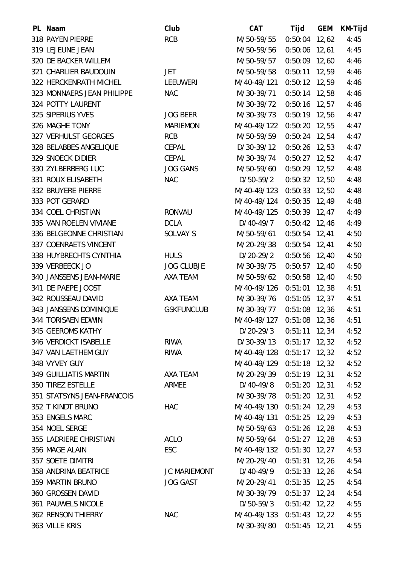| PL Naam                      | Club                | <b>CAT</b>                | Tijd            | <b>GEM</b> | KM-Tijd |
|------------------------------|---------------------|---------------------------|-----------------|------------|---------|
| 318 PAYEN PIERRE             | <b>RCB</b>          | M/50-59/55                | $0:50:04$ 12,62 |            | 4:45    |
| 319 LEJEUNE JEAN             |                     | M/50-59/56                | $0:50:06$ 12,61 |            | 4:45    |
| 320 DE BACKER WILLEM         |                     | M/50-59/57                | $0:50:09$ 12,60 |            | 4:46    |
| 321 CHARLIER BAUDOUIN        | <b>JET</b>          | M/50-59/58                | $0:50:11$ 12,59 |            | 4:46    |
| 322 HERCKENRATH MICHEL       | <b>LEEUWERI</b>     | M/40-49/121               | $0:50:12$ 12,59 |            | 4:46    |
| 323 MONNAERS JEAN PHILIPPE   | <b>NAC</b>          | M/30-39/71                | $0:50:14$ 12,58 |            | 4:46    |
| 324 POTTY LAURENT            |                     | M/30-39/72                | $0:50:16$ 12,57 |            | 4:46    |
| 325 SIPERIUS YVES            | <b>JOG BEER</b>     | M/30-39/73                | $0:50:19$ 12,56 |            | 4:47    |
| 326 MAGHE TONY               | <b>MARIEMON</b>     | M/40-49/122               | $0:50:20$ 12,55 |            | 4:47    |
| 327 VERHULST GEORGES         | <b>RCB</b>          | M/50-59/59                | $0:50:24$ 12,54 |            | 4:47    |
| 328 BELABBES ANGELIQUE       | <b>CEPAL</b>        | D/30-39/12                | $0:50:26$ 12,53 |            | 4:47    |
| 329 SNOECK DIDIER            | CEPAL               | M/30-39/74                | $0:50:27$ 12,52 |            | 4:47    |
| 330 ZYLBERBERG LUC           | <b>JOG GANS</b>     | M/50-59/60                | $0:50:29$ 12,52 |            | 4:48    |
| 331 ROUX ELISABETH           | <b>NAC</b>          | D/50-59/2                 | $0:50:32$ 12,50 |            | 4:48    |
| 332 BRUYERE PIERRE           |                     | M/40-49/123               | $0:50:33$ 12,50 |            | 4:48    |
| 333 POT GERARD               |                     | M/40-49/124               | $0:50:35$ 12,49 |            | 4:48    |
| 334 COEL CHRISTIAN           | <b>RONVAU</b>       | M/40-49/125               | $0:50:39$ 12,47 |            | 4:49    |
| 335 VAN ROELEN VIVIANE       | <b>DCLA</b>         | D/40-49/7                 | $0:50:42$ 12,46 |            | 4:49    |
| 336 BELGEONNE CHRISTIAN      | SOLVAY S            | M/50-59/61                | $0:50:54$ 12,41 |            | 4:50    |
| 337 COENRAETS VINCENT        |                     | M/20-29/38                | $0:50:54$ 12,41 |            | 4:50    |
| 338 HUYBRECHTS CYNTHIA       | <b>HULS</b>         | D/20-29/2                 | $0:50:56$ 12,40 |            | 4:50    |
| 339 VERBEECK JO              | <b>JOG CLUBJE</b>   | M/30-39/75                | $0:50:57$ 12,40 |            | 4:50    |
| 340 JANSSENS JEAN-MARIE      | AXA TEAM            | M/50-59/62                | $0:50:58$ 12,40 |            | 4:50    |
| 341 DE PAEPE JOOST           |                     | M/40-49/126               | $0:51:01$ 12,38 |            | 4:51    |
| 342 ROUSSEAU DAVID           | AXA TEAM            | M/30-39/76                | $0:51:05$ 12,37 |            | 4:51    |
| 343 JANSSENS DOMINIQUE       | <b>GSKFUNCLUB</b>   | M/30-39/77                | $0:51:08$ 12,36 |            | 4:51    |
| 344 TORISAEN EDWIN           |                     | M/40-49/127               | $0:51:08$ 12,36 |            | 4:51    |
| 345 GEEROMS KATHY            |                     | $D/20-29/3$               | $0:51:11$ 12,34 |            | 4:52    |
| 346 VERDICKT ISABELLE        | RIWA                | D/30-39/13                | $0:51:17$ 12,32 |            | 4:52    |
| 347 VAN LAETHEM GUY          | <b>RIWA</b>         | M/40-49/128 0:51:17 12,32 |                 |            | 4:52    |
| 348 VYVEY GUY                |                     | M/40-49/129 0:51:18 12,32 |                 |            | 4:52    |
| <b>349 GUILLIATIS MARTIN</b> | AXA TEAM            | M/20-29/39                | $0:51:19$ 12,31 |            | 4:52    |
| 350 TIREZ ESTELLE            | <b>ARMEE</b>        | D/40-49/8                 | $0:51:20$ 12,31 |            | 4:52    |
| 351 STATSYNS JEAN-FRANCOIS   |                     | M/30-39/78                | $0:51:20$ 12,31 |            | 4:52    |
| 352 T KINDT BRUNO            | <b>HAC</b>          | M/40-49/130               | $0:51:24$ 12,29 |            | 4:53    |
| 353 ENGELS MARC              |                     | M/40-49/131               | $0:51:25$ 12,29 |            | 4:53    |
| 354 NOEL SERGE               |                     | M/50-59/63                | $0:51:26$ 12,28 |            | 4:53    |
| 355 LADRIERE CHRISTIAN       | <b>ACLO</b>         | M/50-59/64                | $0:51:27$ 12,28 |            | 4:53    |
| 356 MAGE ALAIN               | ESC                 | M/40-49/132 0:51:30 12,27 |                 |            | 4:53    |
| 357 SOETE DIMITRI            |                     | M/20-29/40                | $0:51:31$ 12,26 |            | 4:54    |
| 358 ANDRINA BEATRICE         | <b>JC MARIEMONT</b> | D/40-49/9                 | $0:51:33$ 12,26 |            | 4:54    |
| 359 MARTIN BRUNO             | <b>JOG GAST</b>     | M/20-29/41                | $0:51:35$ 12,25 |            | 4:54    |
| 360 GROSSEN DAVID            |                     | M/30-39/79                | $0:51:37$ 12,24 |            | 4:54    |
| 361 PAUWELS NICOLE           |                     | $D/50-59/3$               | $0:51:42$ 12,22 |            | 4:55    |
| <b>362 RENSON THIERRY</b>    | <b>NAC</b>          | M/40-49/133 0:51:43 12,22 |                 |            | 4:55    |
| 363 VILLE KRIS               |                     | M/30-39/80                | $0:51:45$ 12,21 |            | 4:55    |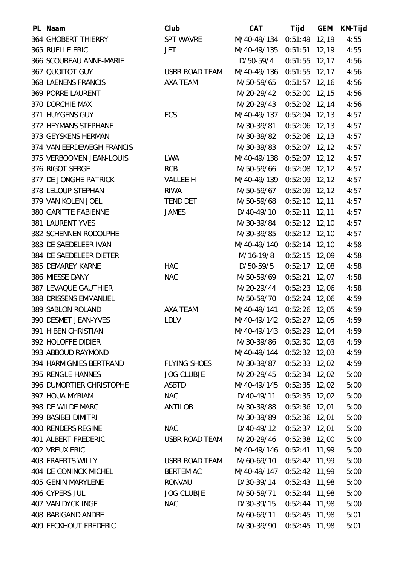| PL Naam                      | Club                  | <b>CAT</b>                | Tijd            | <b>GEM</b> | KM-Tijd |
|------------------------------|-----------------------|---------------------------|-----------------|------------|---------|
| 364 GHOBERT THIERRY          | <b>SPT WAVRE</b>      | M/40-49/134               | $0:51:49$ 12,19 |            | 4:55    |
| 365 RUELLE ERIC              | JET                   | M/40-49/135               | $0:51:51$ 12,19 |            | 4:55    |
| 366 SCOUBEAU ANNE-MARIE      |                       | D/50-59/4                 | $0:51:55$ 12,17 |            | 4:56    |
| 367 QUOITOT GUY              | <b>USBR ROAD TEAM</b> | M/40-49/136               | $0:51:55$ 12,17 |            | 4:56    |
| 368 LAENENS FRANCIS          | AXA TEAM              | M/50-59/65                | $0:51:57$ 12,16 |            | 4:56    |
| <b>369 PORRE LAURENT</b>     |                       | M/20-29/42                | $0:52:00$ 12,15 |            | 4:56    |
| 370 DORCHIE MAX              |                       | M/20-29/43                | $0:52:02$ 12,14 |            | 4:56    |
| 371 HUYGENS GUY              | ECS                   | M/40-49/137               | $0:52:04$ 12,13 |            | 4:57    |
| 372 HEYMANS STEPHANE         |                       | M/30-39/81                | $0:52:06$ 12,13 |            | 4:57    |
| 373 GEYSKENS HERMAN          |                       | M/30-39/82                | $0:52:06$ 12,13 |            | 4:57    |
| 374 VAN EERDEWEGH FRANCIS    |                       | M/30-39/83                | $0:52:07$ 12,12 |            | 4:57    |
| 375 VERBOOMEN JEAN-LOUIS     | <b>LWA</b>            | M/40-49/138               | $0:52:07$ 12,12 |            | 4:57    |
| 376 RIGOT SERGE              | <b>RCB</b>            | M/50-59/66                | $0:52:08$ 12,12 |            | 4:57    |
| 377 DE JONGHE PATRICK        | VALLEE H              | M/40-49/139 0:52:09 12,12 |                 |            | 4:57    |
| 378 LELOUP STEPHAN           | <b>RIWA</b>           | M/50-59/67                | $0:52:09$ 12,12 |            | 4:57    |
| 379 VAN KOLEN JOEL           | <b>TEND DET</b>       | M/50-59/68                | $0:52:10$ 12,11 |            | 4:57    |
| 380 GARITTE FABIENNE         | <b>JAMES</b>          | $D/40-49/10$              | $0:52:11$ 12,11 |            | 4:57    |
| 381 LAURENT YVES             |                       | M/30-39/84                | $0:52:12$ 12,10 |            | 4:57    |
| 382 SCHENNEN RODOLPHE        |                       | M/30-39/85                | $0:52:12$ 12,10 |            | 4:57    |
| 383 DE SAEDELEER IVAN        |                       | M/40-49/140               | $0:52:14$ 12,10 |            | 4:58    |
| 384 DE SAEDELEER DIETER      |                       | M/16-19/8                 | $0:52:15$ 12,09 |            | 4:58    |
| 385 DEMAREY KARNE            | <b>HAC</b>            | D/50-59/5                 | $0:52:17$ 12,08 |            | 4:58    |
| 386 MIESSE DANY              | <b>NAC</b>            | M/50-59/69                | $0:52:21$ 12,07 |            | 4:58    |
| 387 LEVAQUE GAUTHIER         |                       | M/20-29/44                | $0:52:23$ 12,06 |            | 4:58    |
| 388 DRISSENS EMMANUEL        |                       | M/50-59/70                | $0:52:24$ 12,06 |            | 4:59    |
| 389 SABLON ROLAND            | AXA TEAM              | M/40-49/141               | $0:52:26$ 12,05 |            | 4:59    |
| 390 DESMET JEAN-YVES         | <b>LDLV</b>           | M/40-49/142               | $0:52:27$ 12,05 |            | 4:59    |
| 391 HIBEN CHRISTIAN          |                       | M/40-49/143 0:52:29 12,04 |                 |            | 4:59    |
| 392 HOLOFFE DIDIER           |                       | M/30-39/86                | $0:52:30$ 12,03 |            | 4:59    |
| 393 ABBOUD RAYMOND           |                       | M/40-49/144 0:52:32 12,03 |                 |            | 4:59    |
| 394 HARMIGNIES BERTRAND      | <b>FLYING SHOES</b>   | M/30-39/87                | $0:52:33$ 12,02 |            | 4:59    |
| 395 RENGLE HANNES            | <b>JOG CLUBJE</b>     | M/20-29/45                | $0:52:34$ 12,02 |            | 5:00    |
| 396 DUMORTIER CHRISTOPHE     | ASBTD                 | M/40-49/145 0:52:35 12,02 |                 |            | 5:00    |
| 397 HOUA MYRIAM              | <b>NAC</b>            | D/40-49/11                | $0:52:35$ 12,02 |            | 5:00    |
| 398 DE WILDE MARC            | ANTILOB               | M/30-39/88                | $0:52:36$ 12,01 |            | 5:00    |
| 399 BASIBEI DIMITRI          |                       | M/30-39/89                | $0:52:36$ 12,01 |            | 5:00    |
| <b>400 RENDERS REGINE</b>    | <b>NAC</b>            | D/40-49/12                | $0:52:37$ 12,01 |            | 5:00    |
| 401 ALBERT FREDERIC          | USBR ROAD TEAM        | M/20-29/46                | $0:52:38$ 12,00 |            | 5:00    |
| <b>402 VREUX ERIC</b>        |                       | M/40-49/146 0:52:41 11,99 |                 |            | 5:00    |
| <b>403 ERAERTS WILLY</b>     | USBR ROAD TEAM        | M/60-69/10                | $0:52:42$ 11,99 |            | 5:00    |
| 404 DE CONINCK MICHEL        | <b>BERTEM AC</b>      | M/40-49/147               | 0:52:42 11,99   |            | 5:00    |
| <b>405 GENIN MARYLENE</b>    | RONVAU                | D/30-39/14                | $0:52:43$ 11,98 |            | 5:00    |
| 406 CYPERS JUL               | <b>JOG CLUBJE</b>     | M/50-59/71                | $0:52:44$ 11,98 |            | 5:00    |
| 407 VAN DYCK INGE            | <b>NAC</b>            | D/30-39/15                | $0:52:44$ 11,98 |            | 5:00    |
| 408 BARIGAND ANDRE           |                       | M/60-69/11                | $0:52:45$ 11,98 |            | 5:01    |
| <b>409 EECKHOUT FREDERIC</b> |                       | M/30-39/90                | $0:52:45$ 11,98 |            | 5:01    |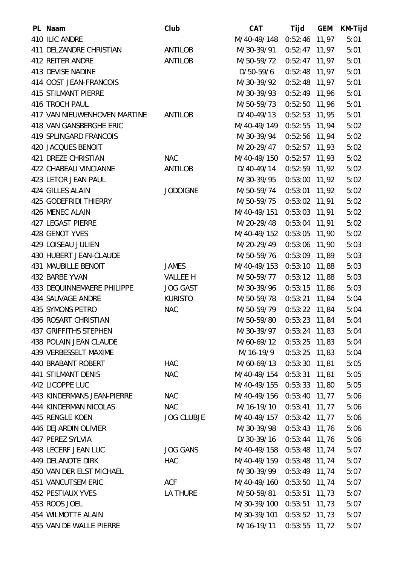| PL Naam                       | Club              | <b>CAT</b>                | Tijd            | <b>GEM</b> | KM-Tijd |
|-------------------------------|-------------------|---------------------------|-----------------|------------|---------|
| 410 ILIC ANDRE                |                   | M/40-49/148               | $0:52:46$ 11,97 |            | 5:01    |
| 411 DELZANDRE CHRISTIAN       | <b>ANTILOB</b>    | M/30-39/91                | $0:52:47$ 11,97 |            | 5:01    |
| 412 REITER ANDRE              | ANTILOB           | M/50-59/72                | $0:52:47$ 11,97 |            | 5:01    |
| 413 DEVISE NADINE             |                   | D/50-59/6                 | $0:52:48$ 11,97 |            | 5:01    |
| 414 OOST JEAN-FRANCOIS        |                   | M/30-39/92                | $0:52:48$ 11,97 |            | 5:01    |
| <b>415 STILMANT PIERRE</b>    |                   | M/30-39/93                | $0:52:49$ 11,96 |            | 5:01    |
| 416 TROCH PAUL                |                   | M/50-59/73                | $0:52:50$ 11,96 |            | 5:01    |
| 417 VAN NIEUWENHOVEN MARTINE  | <b>ANTILOB</b>    | D/40-49/13                | $0:52:53$ 11,95 |            | 5:01    |
| 418 VAN GANSBERGHE ERIC       |                   | M/40-49/149               | $0:52:55$ 11,94 |            | 5:02    |
| <b>419 SPLINGARD FRANCOIS</b> |                   | M/30-39/94                | 0:52:56 11,94   |            | 5:02    |
| 420 JACQUES BENOIT            |                   | M/20-29/47                | $0:52:57$ 11,93 |            | 5:02    |
| 421 DREZE CHRISTIAN           | <b>NAC</b>        | M/40-49/150 0:52:57 11,93 |                 |            | 5:02    |
| 422 CHABEAU VINCIANNE         | ANTILOB           | D/40-49/14                | $0:52:59$ 11,92 |            | 5:02    |
| 423 LETOR JEAN PAUL           |                   | M/30-39/95                | $0:53:00$ 11,92 |            | 5:02    |
| 424 GILLES ALAIN              | <b>JODOIGNE</b>   | M/50-59/74                | $0:53:01$ 11,92 |            | 5:02    |
| 425 GODEFRIDI THIERRY         |                   | M/50-59/75                | $0:53:02$ 11,91 |            | 5:02    |
| 426 MENEC ALAIN               |                   | M/40-49/151               | $0:53:03$ 11,91 |            | 5:02    |
| <b>427 LEGAST PIERRE</b>      |                   | M/20-29/48                | $0:53:04$ 11,91 |            | 5:02    |
| 428 GENOT YVES                |                   | M/40-49/152               | $0:53:05$ 11,90 |            | 5:02    |
| <b>429 LOISEAU JULIEN</b>     |                   | M/20-29/49                | $0:53:06$ 11,90 |            | 5:03    |
| 430 HUBERT JEAN-CLAUDE        |                   | M/50-59/76                | $0:53:09$ 11,89 |            | 5:03    |
| <b>431 MAUBILLE BENOIT</b>    | <b>JAMES</b>      | M/40-49/153               | $0:53:10$ 11,88 |            | 5:03    |
| 432 BARBE YVAN                | <b>VALLEE H</b>   | M/50-59/77                | $0:53:12$ 11,88 |            | 5:03    |
| 433 DEQUINNEMAERE PHILIPPE    | <b>JOG GAST</b>   | M/30-39/96                | $0:53:15$ 11,86 |            | 5:03    |
| 434 SAUVAGE ANDRE             | <b>KURISTO</b>    | M/50-59/78                | $0:53:21$ 11,84 |            | 5:04    |
| 435 SYMONS PETRO              | <b>NAC</b>        | M/50-59/79                | $0:53:22$ 11,84 |            | 5:04    |
| 436 ROSART CHRISTIAN          |                   | M/50-59/80                | $0:53:23$ 11,84 |            | 5:04    |
| <b>437 GRIFFITHS STEPHEN</b>  |                   | M/30-39/97                | $0:53:24$ 11,83 |            | 5:04    |
| 438 POLAIN JEAN CLAUDE        |                   | M/60-69/12                | $0:53:25$ 11,83 |            | 5:04    |
| 439 VERBESSELT MAXIME         |                   | M/16-19/9                 | $0:53:25$ 11,83 |            | 5:04    |
| 440 BRABANT ROBERT            | <b>HAC</b>        | M/60-69/13                | $0:53:30$ 11,81 |            | 5:05    |
| <b>441 STILMANT DENIS</b>     | <b>NAC</b>        | M/40-49/154 0:53:31 11,81 |                 |            | 5:05    |
| 442 LICOPPE LUC               |                   | M/40-49/155 0:53:33 11,80 |                 |            | 5:05    |
| 443 KINDERMANS JEAN-PIERRE    | <b>NAC</b>        | M/40-49/156 0:53:40 11,77 |                 |            | 5:06    |
| 444 KINDERMAN NICOLAS         | <b>NAC</b>        | M/16-19/10                | $0:53:41$ 11,77 |            | 5:06    |
| 445 RENGLE KOEN               | <b>JOG CLUBJE</b> | M/40-49/157 0:53:42 11,77 |                 |            | 5:06    |
| 446 DEJARDIN OLIVIER          |                   | M/30-39/98                | $0:53:43$ 11,76 |            | 5:06    |
| 447 PEREZ SYLVIA              |                   | D/30-39/16                | 0:53:44 11,76   |            | 5:06    |
| 448 LECERF JEAN LUC           | <b>JOG GANS</b>   | M/40-49/158 0:53:48 11,74 |                 |            | 5:07    |
| 449 DELANOTE DIRK             | <b>HAC</b>        | M/40-49/159 0:53:48 11,74 |                 |            | 5:07    |
| 450 VAN DER ELST MICHAEL      |                   | M/30-39/99                | 0:53:49 11,74   |            | 5:07    |
| <b>451 VANCUTSEM ERIC</b>     | ACF               | M/40-49/160 0:53:50 11,74 |                 |            | 5:07    |
| 452 PESTIAUX YVES             | LA THURE          | M/50-59/81                | $0:53:51$ 11,73 |            | 5:07    |
| 453 ROOS JOEL                 |                   | M/30-39/100 0:53:51 11,73 |                 |            | 5:07    |
| <b>454 WILMOTTE ALAIN</b>     |                   | M/30-39/101 0:53:52 11,73 |                 |            | 5:07    |
| 455 VAN DE WALLE PIERRE       |                   | M/16-19/11                | $0:53:55$ 11,72 |            | 5:07    |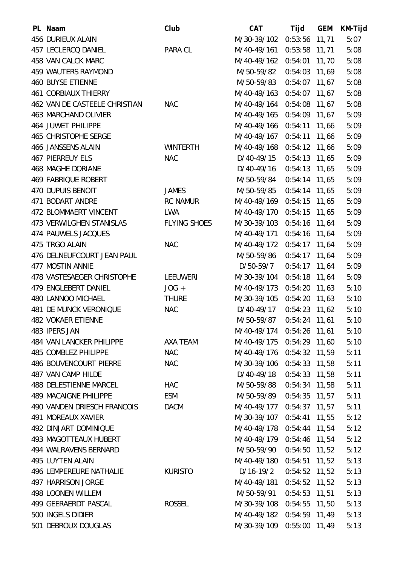| PL Naam                            | Club                | <b>CAT</b>                | Tijd            | <b>GEM</b> | KM-Tijd |
|------------------------------------|---------------------|---------------------------|-----------------|------------|---------|
| 456 DURIEUX ALAIN                  |                     | M/30-39/102               | 0:53:56 11,71   |            | 5:07    |
| 457 LECLERCQ DANIEL                | PARA CL             | M/40-49/161               | $0:53:58$ 11,71 |            | 5:08    |
| 458 VAN CALCK MARC                 |                     | M/40-49/162 0:54:01 11,70 |                 |            | 5:08    |
| 459 WAUTERS RAYMOND                |                     | M/50-59/82                | $0:54:03$ 11,69 |            | 5:08    |
| <b>460 BUYSE ETIENNE</b>           |                     | M/50-59/83                | $0:54:07$ 11,67 |            | 5:08    |
| <b>461 CORBIAUX THIERRY</b>        |                     | M/40-49/163 0:54:07 11,67 |                 |            | 5:08    |
| 462 VAN DE CASTEELE CHRISTIAN      | <b>NAC</b>          | M/40-49/164 0:54:08 11,67 |                 |            | 5:08    |
| <b>463 MARCHAND OLIVIER</b>        |                     | M/40-49/165 0:54:09 11,67 |                 |            | 5:09    |
| <b>464 JUWET PHILIPPE</b>          |                     | M/40-49/166 0:54:11 11,66 |                 |            | 5:09    |
| 465 CHRISTOPHE SERGE               |                     | M/40-49/167 0:54:11 11,66 |                 |            | 5:09    |
| 466 JANSSENS ALAIN                 | <b>WINTERTH</b>     | M/40-49/168 0:54:12 11,66 |                 |            | 5:09    |
| <b>467 PIERREUY ELS</b>            | <b>NAC</b>          | D/40-49/15                | $0:54:13$ 11,65 |            | 5:09    |
| <b>468 MAGHE DORIANE</b>           |                     | D/40-49/16                | $0:54:13$ 11,65 |            | 5:09    |
| <b>469 FABRIQUE ROBERT</b>         |                     | M/50-59/84                | 0:54:14 11,65   |            | 5:09    |
| 470 DUPUIS BENOIT                  | <b>JAMES</b>        | M/50-59/85                | $0:54:14$ 11,65 |            | 5:09    |
| 471 BODART ANDRE                   | <b>RC NAMUR</b>     | M/40-49/169 0:54:15 11,65 |                 |            | 5:09    |
| 472 BLOMMAERT VINCENT              | <b>LWA</b>          | M/40-49/170 0:54:15 11,65 |                 |            | 5:09    |
| 473 VERWILGHEN STANISLAS           | <b>FLYING SHOES</b> | M/30-39/103 0:54:16 11,64 |                 |            | 5:09    |
| 474 PAUWELS JACQUES                |                     | M/40-49/171               | $0:54:16$ 11,64 |            | 5:09    |
| 475 TRGO ALAIN                     | <b>NAC</b>          | M/40-49/172 0:54:17 11,64 |                 |            | 5:09    |
| 476 DELNEUFCOURT JEAN PAUL         |                     | M/50-59/86                | $0:54:17$ 11,64 |            | 5:09    |
| 477 MOSTIN ANNIE                   |                     | D/50-59/7                 | $0:54:17$ 11,64 |            | 5:09    |
| 478 VASTESAEGER CHRISTOPHE         | <b>LEEUWERI</b>     | M/30-39/104 0:54:18 11,64 |                 |            | 5:09    |
| 479 ENGLEBERT DANIEL               | $JOG +$             | M/40-49/173 0:54:20 11,63 |                 |            | 5:10    |
| 480 LANNOO MICHAEL                 | <b>THURE</b>        | M/30-39/105               | $0:54:20$ 11,63 |            | 5:10    |
| <b>481 DE MUNCK VERONIQUE</b>      | <b>NAC</b>          | D/40-49/17                | $0:54:23$ 11,62 |            | 5:10    |
| <b>482 VOKAER ETIENNE</b>          |                     | M/50-59/87                | $0:54:24$ 11,61 |            | 5:10    |
| 483 IPERS JAN                      |                     | M/40-49/174 0:54:26 11,61 |                 |            | 5:10    |
| 484 VAN LANCKER PHILIPPE           | AXA TEAM            | M/40-49/175 0:54:29 11,60 |                 |            | 5:10    |
| 485 COMBLEZ PHILIPPE               | <b>NAC</b>          | M/40-49/176 0:54:32 11,59 |                 |            | 5:11    |
| <b>486 BOUVENCOURT PIERRE</b>      | <b>NAC</b>          | M/30-39/106 0:54:33 11,58 |                 |            | 5:11    |
| <b>487 VAN CAMP HILDE</b>          |                     | D/40-49/18                | $0:54:33$ 11,58 |            | 5:11    |
| <b>488 DELESTIENNE MARCEL</b>      | <b>HAC</b>          | M/50-59/88                | 0:54:34 11,58   |            | 5:11    |
| <b>489 MACAIGNE PHILIPPE</b>       | ESM                 | M/50-59/89                | 0:54:35 11,57   |            | 5:11    |
| <b>490 VANDEN DRIESCH FRANCOIS</b> | <b>DACM</b>         | M/40-49/177 0:54:37 11,57 |                 |            | 5:11    |
| 491 MOREAUX XAVIER                 |                     | M/30-39/107 0:54:41 11,55 |                 |            | 5:12    |
| <b>492 DINJART DOMINIQUE</b>       |                     | M/40-49/178 0:54:44 11,54 |                 |            | 5:12    |
| <b>493 MAGOTTEAUX HUBERT</b>       |                     | M/40-49/179 0:54:46 11,54 |                 |            | 5:12    |
| 494 WALRAVENS BERNARD              |                     | M/50-59/90                | 0:54:50 11,52   |            | 5:12    |
| 495 LUYTEN ALAIN                   |                     | M/40-49/180 0:54:51 11,52 |                 |            | 5:13    |
| <b>496 LEMPEREURE NATHALIE</b>     | <b>KURISTO</b>      | $D/16-19/2$               | $0:54:52$ 11,52 |            | 5:13    |
| 497 HARRISON JORGE                 |                     | M/40-49/181 0:54:52 11,52 |                 |            | 5:13    |
| <b>498 LOONEN WILLEM</b>           |                     | M/50-59/91                | $0:54:53$ 11,51 |            | 5:13    |
| 499 GEERAERDT PASCAL               | <b>ROSSEL</b>       | M/30-39/108 0:54:55 11,50 |                 |            | 5:13    |
| 500 INGELS DIDIER                  |                     | M/40-49/182 0:54:59 11,49 |                 |            | 5:13    |
| 501 DEBROUX DOUGLAS                |                     | M/30-39/109 0:55:00 11,49 |                 |            | 5:13    |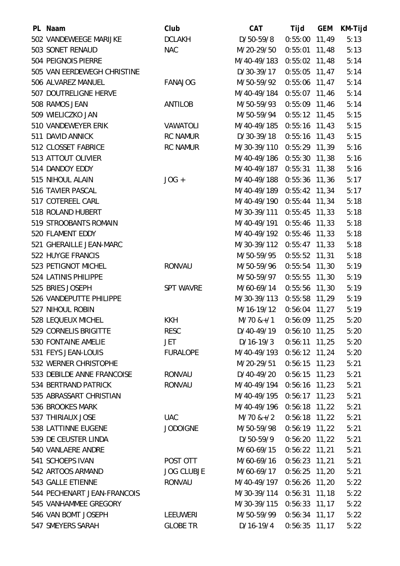| PL Naam                     | Club              | <b>CAT</b>                | Tijd            | <b>GEM</b> | KM-Tijd |
|-----------------------------|-------------------|---------------------------|-----------------|------------|---------|
| 502 VANDEWEEGE MARIJKE      | <b>DCLAKH</b>     | D/50-59/8                 | $0:55:00$ 11,49 |            | 5:13    |
| 503 SONET RENAUD            | <b>NAC</b>        | M/20-29/50                | $0:55:01$ 11,48 |            | 5:13    |
| 504 PEIGNOIS PIERRE         |                   | M/40-49/183               | $0:55:02$ 11,48 |            | 5:14    |
| 505 VAN EERDEWEGH CHRISTINE |                   | D/30-39/17                | $0:55:05$ 11,47 |            | 5:14    |
| 506 ALVAREZ MANUEL          | <b>FANAJOG</b>    | M/50-59/92                | $0:55:06$ 11,47 |            | 5:14    |
| 507 DOUTRELIGNE HERVE       |                   | M/40-49/184               | $0:55:07$ 11,46 |            | 5:14    |
| 508 RAMOS JEAN              | ANTILOB           | M/50-59/93                | $0:55:09$ 11,46 |            | 5:14    |
| 509 WIELICZKO JAN           |                   | M/50-59/94                | $0:55:12$ 11,45 |            | 5:15    |
| 510 VANDEWEYER ERIK         | VAWATOLI          | M/40-49/185               | $0:55:16$ 11,43 |            | 5:15    |
| 511 DAVID ANNICK            | <b>RC NAMUR</b>   | D/30-39/18                | $0:55:16$ 11,43 |            | 5:15    |
| 512 CLOSSET FABRICE         | <b>RC NAMUR</b>   | M/30-39/110 0:55:29 11,39 |                 |            | 5:16    |
| 513 ATTOUT OLIVIER          |                   | M/40-49/186 0:55:30 11,38 |                 |            | 5:16    |
| 514 DANDOY EDDY             |                   | M/40-49/187               | $0:55:31$ 11,38 |            | 5:16    |
| 515 NIHOUL ALAIN            | $JOG +$           | M/40-49/188 0:55:36 11,36 |                 |            | 5:17    |
| 516 TAVIER PASCAL           |                   | M/40-49/189 0:55:42 11,34 |                 |            | 5:17    |
| 517 COTEREEL CARL           |                   | M/40-49/190               | $0:55:44$ 11,34 |            | 5:18    |
| 518 ROLAND HUBERT           |                   | M/30-39/111 0:55:45 11,33 |                 |            | 5:18    |
| 519 STROOBANTS ROMAIN       |                   | M/40-49/191               | 0:55:46 11,33   |            | 5:18    |
| 520 FLAMENT EDDY            |                   | M/40-49/192               | $0:55:46$ 11,33 |            | 5:18    |
| 521 GHERAILLE JEAN-MARC     |                   | M/30-39/112 0:55:47 11,33 |                 |            | 5:18    |
| 522 HUYGE FRANCIS           |                   | M/50-59/95                | $0:55:52$ 11,31 |            | 5:18    |
| 523 PETIGNOT MICHEL         | <b>RONVAU</b>     | M/50-59/96                | $0:55:54$ 11,30 |            | 5:19    |
| 524 LATINIS PHILIPPE        |                   | M/50-59/97                | $0:55:55$ 11,30 |            | 5:19    |
| 525 BRIES JOSEPH            | <b>SPT WAVRE</b>  | M/60-69/14                | $0:55:56$ 11,30 |            | 5:19    |
| 526 VANDEPUTTE PHILIPPE     |                   | M/30-39/113               | $0:55:58$ 11,29 |            | 5:19    |
| 527 NIHOUL ROBIN            |                   | M/16-19/12                | $0:56:04$ 11,27 |            | 5:19    |
| 528 LEQUEUX MICHEL          | <b>KKH</b>        | M/70 &+/1                 | $0:56:09$ 11,25 |            | 5:20    |
| 529 CORNELIS BRIGITTE       | <b>RESC</b>       | D/40-49/19                | $0:56:10$ 11,25 |            | 5:20    |
| 530 FONTAINE AMELIE         | JET               | $D/16-19/3$               | $0:56:11$ 11,25 |            | 5:20    |
| 531 FEYS JEAN-LOUIS         | <b>FURALOPE</b>   | M/40-49/193 0:56:12 11,24 |                 |            | 5:20    |
| 532 WERNER CHRISTOPHE       |                   | M/20-29/51                | $0:56:15$ 11,23 |            | 5:21    |
| 533 DEBILDE ANNE FRANCOISE  | <b>RONVAU</b>     | D/40-49/20                | $0:56:15$ 11,23 |            | 5:21    |
| 534 BERTRAND PATRICK        | <b>RONVAU</b>     | M/40-49/194 0:56:16 11,23 |                 |            | 5:21    |
| 535 ABRASSART CHRISTIAN     |                   | M/40-49/195 0:56:17 11,23 |                 |            | 5:21    |
| 536 BROOKES MARK            |                   | M/40-49/196               | $0:56:18$ 11,22 |            | 5:21    |
| 537 THIRIAUX JOSE           | <b>UAC</b>        | $M/70$ &+/2               | $0:56:18$ 11,22 |            | 5:21    |
| 538 LATTINNE EUGENE         | <b>JODOIGNE</b>   | M/50-59/98                | $0:56:19$ 11,22 |            | 5:21    |
| 539 DE CEUSTER LINDA        |                   | D/50-59/9                 | $0:56:20$ 11,22 |            | 5:21    |
| 540 VANLAERE ANDRE          |                   | M/60-69/15                | $0:56:22$ 11,21 |            | 5:21    |
| 541 SCHOEPS IVAN            | POST OTT          | M/60-69/16                | $0:56:23$ 11,21 |            | 5:21    |
| 542 ARTOOS ARMAND           | <b>JOG CLUBJE</b> | M/60-69/17                | $0:56:25$ 11,20 |            | 5:21    |
| 543 GALLE ETIENNE           | <b>RONVAU</b>     | M/40-49/197 0:56:26 11,20 |                 |            | 5:22    |
| 544 PECHENART JEAN-FRANCOIS |                   | M/30-39/114 0:56:31 11,18 |                 |            | 5:22    |
| 545 VANHAMMEE GREGORY       |                   | M/30-39/115               | $0:56:33$ 11,17 |            | 5:22    |
| 546 VAN BOMT JOSEPH         | <b>LEEUWERI</b>   | M/50-59/99                | 0:56:34 11,17   |            | 5:22    |
| 547 SMEYERS SARAH           | <b>GLOBE TR</b>   | D/16-19/4                 | $0:56:35$ 11,17 |            | 5:22    |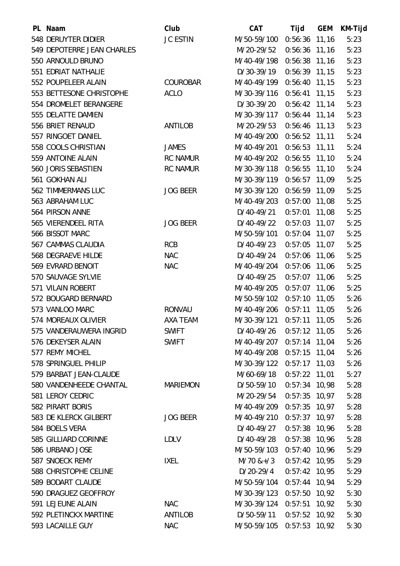| PL Naam                    | Club            | <b>CAT</b>                | Tijd            | <b>GEM</b> | KM-Tijd |
|----------------------------|-----------------|---------------------------|-----------------|------------|---------|
| 548 DERUYTER DIDIER        | <b>JC ESTIN</b> | M/50-59/100               | $0:56:36$ 11,16 |            | 5:23    |
| 549 DEPOTERRE JEAN CHARLES |                 | M/20-29/52                | $0:56:36$ 11,16 |            | 5:23    |
| 550 ARNOULD BRUNO          |                 | M/40-49/198               | 0:56:38 11,16   |            | 5:23    |
| 551 EDRIAT NATHALIE        |                 | D/30-39/19                | $0:56:39$ 11,15 |            | 5:23    |
| 552 POUPELEER ALAIN        | <b>COUROBAR</b> | M/40-49/199 0:56:40 11,15 |                 |            | 5:23    |
| 553 BETTESONE CHRISTOPHE   | <b>ACLO</b>     | M/30-39/116               | $0:56:41$ 11,15 |            | 5:23    |
| 554 DROMELET BERANGERE     |                 | D/30-39/20                | $0:56:42$ 11,14 |            | 5:23    |
| 555 DELATTE DAMIEN         |                 | M/30-39/117 0:56:44 11,14 |                 |            | 5:23    |
| 556 BRIET RENAUD           | ANTILOB         | M/20-29/53                | $0:56:46$ 11,13 |            | 5:23    |
| 557 RINGOET DANIEL         |                 | M/40-49/200               | 0:56:52 11,11   |            | 5:24    |
| 558 COOLS CHRISTIAN        | <b>JAMES</b>    | M/40-49/201               | 0:56:53 11,11   |            | 5:24    |
| 559 ANTOINE ALAIN          | <b>RC NAMUR</b> | M/40-49/202               | $0:56:55$ 11,10 |            | 5:24    |
| 560 JORIS SEBASTIEN        | <b>RC NAMUR</b> | M/30-39/118               | $0:56:55$ 11,10 |            | 5:24    |
| 561 GOKHAN ALI             |                 | M/30-39/119 0:56:57 11,09 |                 |            | 5:25    |
| 562 TIMMERMANS LUC         | <b>JOG BEER</b> | M/30-39/120               | 0:56:59 11,09   |            | 5:25    |
| 563 ABRAHAM LUC            |                 | M/40-49/203               | $0:57:00$ 11,08 |            | 5:25    |
| 564 PIRSON ANNE            |                 | D/40-49/21                | $0:57:01$ 11,08 |            | 5:25    |
| 565 VIERENDEEL RITA        | <b>JOG BEER</b> | D/40-49/22                | $0:57:03$ 11,07 |            | 5:25    |
| 566 BISSOT MARC            |                 | M/50-59/101               | $0:57:04$ 11,07 |            | 5:25    |
| 567 CAMMAS CLAUDIA         | <b>RCB</b>      | D/40-49/23                | $0:57:05$ 11,07 |            | 5:25    |
| 568 DEGRAEVE HILDE         | <b>NAC</b>      | D/40-49/24                | $0:57:06$ 11,06 |            | 5:25    |
| 569 EVRARD BENOIT          | <b>NAC</b>      | M/40-49/204               | $0:57:06$ 11,06 |            | 5:25    |
| 570 SAUVAGE SYLVIE         |                 | D/40-49/25                | $0:57:07$ 11,06 |            | 5:25    |
| 571 VILAIN ROBERT          |                 | M/40-49/205               | 0:57:07 11,06   |            | 5:25    |
| 572 BOUGARD BERNARD        |                 | M/50-59/102               | $0:57:10$ 11,05 |            | 5:26    |
| 573 VANLOO MARC            | <b>RONVAU</b>   | M/40-49/206               | $0:57:11$ 11,05 |            | 5:26    |
| 574 MOREAUX OLIVIER        | AXA TEAM        | M/30-39/121               | 0:57:11         | 11,05      | 5:26    |
| 575 VANDERAUWERA INGRID    | <b>SWIFT</b>    | D/40-49/26                | $0:57:12$ 11,05 |            | 5:26    |
| 576 DEKEYSER ALAIN         | <b>SWIFT</b>    | M/40-49/207               | $0:57:14$ 11,04 |            | 5:26    |
| 577 REMY MICHEL            |                 | M/40-49/208 0:57:15 11,04 |                 |            | 5:26    |
| 578 SPRINGUEL PHILIP       |                 | M/30-39/122 0:57:17 11,03 |                 |            | 5:26    |
| 579 BARBAT JEAN-CLAUDE     |                 | M/60-69/18                | $0:57:22$ 11,01 |            | 5:27    |
| 580 VANDENHEEDE CHANTAL    | <b>MARIEMON</b> | D/50-59/10                | $0:57:34$ 10,98 |            | 5:28    |
| 581 LEROY CEDRIC           |                 | M/20-29/54                | $0:57:35$ 10,97 |            | 5:28    |
| <b>582 PIRART BORIS</b>    |                 | M/40-49/209               | $0:57:35$ 10,97 |            | 5:28    |
| 583 DE KLERCK GILBERT      | <b>JOG BEER</b> | M/40-49/210 0:57:37 10,97 |                 |            | 5:28    |
| 584 BOELS VERA             |                 | D/40-49/27                | $0:57:38$ 10,96 |            | 5:28    |
| 585 GILLIARD CORINNE       | <b>LDLV</b>     | D/40-49/28                | $0:57:38$ 10,96 |            | 5:28    |
| 586 URBANO JOSE            |                 | M/50-59/103 0:57:40 10,96 |                 |            | 5:29    |
| 587 SNOECK REMY            | <b>IXEL</b>     | $M/70$ &+/3               | $0:57:42$ 10,95 |            | 5:29    |
| 588 CHRISTOPHE CELINE      |                 | $D/20-29/4$               | $0:57:42$ 10,95 |            | 5:29    |
| 589 BODART CLAUDE          |                 | M/50-59/104 0:57:44 10,94 |                 |            | 5:29    |
| 590 DRAGUEZ GEOFFROY       |                 | M/30-39/123 0:57:50 10,92 |                 |            | 5:30    |
| 591 LEJEUNE ALAIN          | <b>NAC</b>      | M/30-39/124 0:57:51 10,92 |                 |            | 5:30    |
| 592 PLETINCKX MARTINE      | <b>ANTILOB</b>  | D/50-59/11                | $0:57:52$ 10,92 |            | 5:30    |
| 593 LACAILLE GUY           | <b>NAC</b>      | M/50-59/105               | $0:57:53$ 10,92 |            | 5:30    |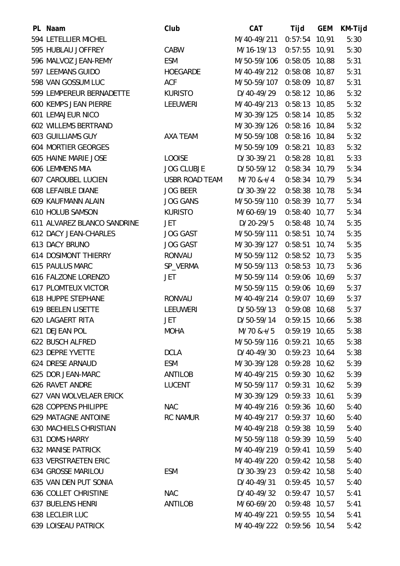| PL Naam                       | Club                  | <b>CAT</b>                    | Tijd            | <b>GEM</b> | KM-Tijd |
|-------------------------------|-----------------------|-------------------------------|-----------------|------------|---------|
| 594 LETELLIER MICHEL          |                       | M/40-49/211                   | $0:57:54$ 10,91 |            | 5:30    |
| 595 HUBLAU JOFFREY            | CABW                  | M/16-19/13                    | $0:57:55$ 10,91 |            | 5:30    |
| 596 MALVOZ JEAN-REMY          | <b>ESM</b>            | M/50-59/106 0:58:05 10,88     |                 |            | 5:31    |
| 597 LEEMANS GUIDO             | <b>HOEGARDE</b>       | M/40-49/212                   | 0:58:08 10,87   |            | 5:31    |
| 598 VAN GOSSUM LUC            | <b>ACF</b>            | M/50-59/107                   | 0:58:09 10,87   |            | 5:31    |
| 599 LEMPEREUR BERNADETTE      | <b>KURISTO</b>        | D/40-49/29                    | $0:58:12$ 10,86 |            | 5:32    |
| <b>600 KEMPS JEAN PIERRE</b>  | <b>LEEUWERI</b>       | M/40-49/213                   | $0:58:13$ 10,85 |            | 5:32    |
| <b>601 LEMAJEUR NICO</b>      |                       | M/30-39/125                   | 0:58:14 10,85   |            | 5:32    |
| 602 WILLEMS BERTRAND          |                       | M/30-39/126                   | 0:58:16 10,84   |            | 5:32    |
| <b>603 GUILLIAMS GUY</b>      | AXA TEAM              | M/50-59/108                   | $0:58:16$ 10,84 |            | 5:32    |
| <b>604 MORTIER GEORGES</b>    |                       | M/50-59/109 0:58:21 10,83     |                 |            | 5:32    |
| 605 HAINE MARIE JOSE          | <b>LOOISE</b>         | D/30-39/21                    | $0:58:28$ 10,81 |            | 5:33    |
| 606 LEMMENS MIA               | <b>JOG CLUBJE</b>     | D/50-59/12                    | $0:58:34$ 10,79 |            | 5:34    |
| <b>607 CAROUBEL LUCIEN</b>    | <b>USBR ROAD TEAM</b> | $M/70$ &+/4                   | $0:58:34$ 10,79 |            | 5:34    |
| 608 LEFAIBLE DIANE            | <b>JOG BEER</b>       | D/30-39/22                    | $0:58:38$ 10,78 |            | 5:34    |
| 609 KAUFMANN ALAIN            | <b>JOG GANS</b>       | M/50-59/110                   | $0:58:39$ 10,77 |            | 5:34    |
| 610 HOLUB SAMSON              | <b>KURISTO</b>        | M/60-69/19                    | $0:58:40$ 10,77 |            | 5:34    |
| 611 ALVAREZ BLANCO SANDRINE   | JET                   | D/20-29/5                     | $0:58:48$ 10,74 |            | 5:35    |
| 612 DACY JEAN-CHARLES         | <b>JOG GAST</b>       | M/50-59/111                   | $0:58:51$ 10,74 |            | 5:35    |
| 613 DACY BRUNO                | <b>JOG GAST</b>       | M/30-39/127 0:58:51 10,74     |                 |            | 5:35    |
| <b>614 DOSIMONT THIERRY</b>   | <b>RONVAU</b>         | M/50-59/112                   | 0:58:52 10,73   |            | 5:35    |
| 615 PAULUS MARC               | SP_VERMA              | M/50-59/113                   | $0:58:53$ 10,73 |            | 5:36    |
| 616 FALZONE LORENZO           | JET                   | M/50-59/114 0:59:06 10,69     |                 |            | 5:37    |
| <b>617 PLOMTEUX VICTOR</b>    |                       | M/50-59/115                   | 0:59:06 10,69   |            | 5:37    |
| 618 HUPPE STEPHANE            | <b>RONVAU</b>         | M/40-49/214                   | 0:59:07 10,69   |            | 5:37    |
| 619 BEELEN LISETTE            | <b>LEEUWERI</b>       | D/50-59/13                    | $0:59:08$ 10,68 |            | 5:37    |
| <b>620 LAGAERT RITA</b>       | JET                   | D/50-59/14                    | 0:59:15         | 10,66      | 5:38    |
| 621 DEJEAN POL                | <b>MOHA</b>           | $M/70$ & + $/5$ 0:59:19 10,65 |                 |            | 5:38    |
| 622 BUSCH ALFRED              |                       | M/50-59/116 0:59:21 10,65     |                 |            | 5:38    |
| 623 DEPRE YVETTE              | <b>DCLA</b>           | D/40-49/30                    | $0:59:23$ 10,64 |            | 5:38    |
| 624 DRESE ARNAUD              | ESM                   | M/30-39/128 0:59:28 10,62     |                 |            | 5:39    |
| 625 DOR JEAN-MARC             | ANTILOB               | M/40-49/215                   | $0:59:30$ 10,62 |            | 5:39    |
| 626 RAVET ANDRE               | <b>LUCENT</b>         | M/50-59/117 0:59:31 10,62     |                 |            | 5:39    |
| 627 VAN WOLVELAER ERICK       |                       | M/30-39/129 0:59:33 10,61     |                 |            | 5:39    |
| 628 COPPENS PHILIPPE          | <b>NAC</b>            | M/40-49/216 0:59:36 10,60     |                 |            | 5:40    |
| <b>629 MATAGNE ANTOINE</b>    | <b>RC NAMUR</b>       | M/40-49/217 0:59:37 10,60     |                 |            | 5:40    |
| <b>630 MACHIELS CHRISTIAN</b> |                       | M/40-49/218 0:59:38 10,59     |                 |            | 5:40    |
| 631 DOMS HARRY                |                       | M/50-59/118 0:59:39 10,59     |                 |            | 5:40    |
| <b>632 MANISE PATRICK</b>     |                       | M/40-49/219 0:59:41 10,59     |                 |            | 5:40    |
| <b>633 VERSTRAETEN ERIC</b>   |                       | M/40-49/220 0:59:42 10,58     |                 |            | 5:40    |
| <b>634 GROSSE MARILOU</b>     | <b>ESM</b>            | D/30-39/23                    | $0:59:42$ 10,58 |            | 5:40    |
| 635 VAN DEN PUT SONIA         |                       | D/40-49/31                    | $0:59:45$ 10,57 |            | 5:40    |
| 636 COLLET CHRISTINE          | <b>NAC</b>            | D/40-49/32                    | $0:59:47$ 10,57 |            | 5:41    |
| <b>637 BUELENS HENRI</b>      | ANTILOB               | M/60-69/20                    | $0:59:48$ 10,57 |            | 5:41    |
| 638 LECLEIR LUC               |                       | M/40-49/221 0:59:55 10,54     |                 |            | 5:41    |
| <b>639 LOISEAU PATRICK</b>    |                       | M/40-49/222 0:59:56 10,54     |                 |            | 5:42    |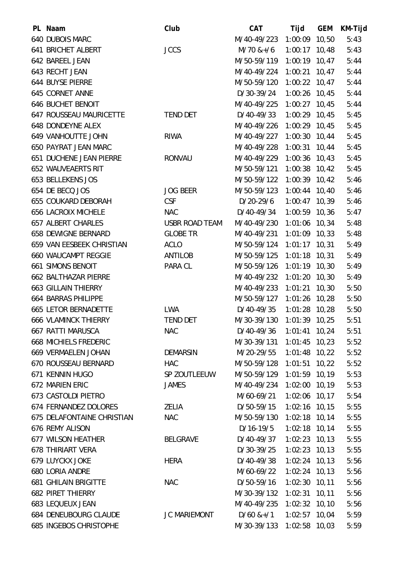| PL Naam                        | Club                  | <b>CAT</b>                | Tijd            | <b>GEM</b> | KM-Tijd |
|--------------------------------|-----------------------|---------------------------|-----------------|------------|---------|
| 640 DUBOIS MARC                |                       | M/40-49/223               | 1:00:09 10,50   |            | 5:43    |
| 641 BRICHET ALBERT             | <b>JCCS</b>           | $M/70$ &+/6               | $1:00:17$ 10,48 |            | 5:43    |
| 642 BAREEL JEAN                |                       | M/50-59/119 1:00:19 10,47 |                 |            | 5:44    |
| 643 RECHT JEAN                 |                       | M/40-49/224               | 1:00:21 10,47   |            | 5:44    |
| 644 BUYSE PIERRE               |                       | M/50-59/120               | $1:00:22$ 10,47 |            | 5:44    |
| 645 CORNET ANNE                |                       | D/30-39/24                | $1:00:26$ 10,45 |            | 5:44    |
| <b>646 BUCHET BENOIT</b>       |                       | M/40-49/225               | $1:00:27$ 10,45 |            | 5:44    |
| <b>647 ROUSSEAU MAURICETTE</b> | <b>TEND DET</b>       | D/40-49/33                | $1:00:29$ 10,45 |            | 5:45    |
| 648 DONDEYNE ALEX              |                       | M/40-49/226               | $1:00:29$ 10,45 |            | 5:45    |
| 649 VANHOUTTE JOHN             | <b>RIWA</b>           | M/40-49/227               | $1:00:30$ 10,44 |            | 5:45    |
| <b>650 PAYRAT JEAN MARC</b>    |                       | M/40-49/228               | 1:00:31 10,44   |            | 5:45    |
| 651 DUCHENE JEAN PIERRE        | <b>RONVAU</b>         | M/40-49/229 1:00:36 10,43 |                 |            | 5:45    |
| <b>652 WAUVEAERTS RIT</b>      |                       | M/50-59/121               | $1:00:38$ 10,42 |            | 5:45    |
| 653 BELLEKENS JOS              |                       | M/50-59/122 1:00:39 10,42 |                 |            | 5:46    |
| 654 DE BECQ JOS                | <b>JOG BEER</b>       | M/50-59/123               | $1:00:44$ 10,40 |            | 5:46    |
| <b>655 COUKARD DEBORAH</b>     | <b>CSF</b>            | $D/20-29/6$               | $1:00:47$ 10,39 |            | 5:46    |
| <b>656 LACROIX MICHELE</b>     | <b>NAC</b>            | D/40-49/34                | $1:00:59$ 10,36 |            | 5:47    |
| <b>657 ALBERT CHARLES</b>      | <b>USBR ROAD TEAM</b> | M/40-49/230 1:01:06 10,34 |                 |            | 5:48    |
| <b>658 DEWIGNE BERNARD</b>     | <b>GLOBE TR</b>       | M/40-49/231               | $1:01:09$ 10,33 |            | 5:48    |
| 659 VAN EESBEEK CHRISTIAN      | ACLO                  | M/50-59/124 1:01:17 10,31 |                 |            | 5:49    |
| <b>660 WAUCAMPT REGGIE</b>     | ANTILOB               | M/50-59/125               | $1:01:18$ 10,31 |            | 5:49    |
| <b>661 SIMONS BENOIT</b>       | PARA CL               | M/50-59/126               | $1:01:19$ 10,30 |            | 5:49    |
| <b>662 BALTHAZAR PIERRE</b>    |                       | M/40-49/232               | $1:01:20$ 10,30 |            | 5:49    |
| <b>663 GILLAIN THIERRY</b>     |                       | M/40-49/233               | $1:01:21$ 10,30 |            | 5:50    |
| <b>664 BARRAS PHILIPPE</b>     |                       | M/50-59/127               | $1:01:26$ 10,28 |            | 5:50    |
| <b>665 LETOR BERNADETTE</b>    | <b>LWA</b>            | D/40-49/35                | $1:01:28$ 10,28 |            | 5:50    |
| <b>666 VLAMINCK THIERRY</b>    | <b>TEND DET</b>       | M/30-39/130               | $1:01:39$ 10,25 |            | 5:51    |
| 667 RATTI MARUSCA              | <b>NAC</b>            | D/40-49/36                | $1:01:41$ 10,24 |            | 5:51    |
| <b>668 MICHIELS FREDERIC</b>   |                       | M/30-39/131               | $1:01:45$ 10,23 |            | 5:52    |
| 669 VERMAELEN JOHAN            | <b>DEMARSIN</b>       | M/20-29/55                | $1:01:48$ 10,22 |            | 5:52    |
| 670 ROUSSEAU BERNARD           | <b>HAC</b>            | M/50-59/128 1:01:51 10,22 |                 |            | 5:52    |
| 671 KENNIN HUGO                | SP ZOUTLEEUW          | M/50-59/129 1:01:59 10,19 |                 |            | 5:53    |
| <b>672 MARIEN ERIC</b>         | <b>JAMES</b>          | M/40-49/234               | 1:02:00 10,19   |            | 5:53    |
| 673 CASTOLDI PIETRO            |                       | M/60-69/21                | $1:02:06$ 10,17 |            | 5:54    |
| 674 FERNANDEZ DOLORES          | <b>ZELIA</b>          | D/50-59/15                | $1:02:16$ 10,15 |            | 5:55    |
| 675 DELAFONTAINE CHRISTIAN     | <b>NAC</b>            | M/50-59/130               | $1:02:18$ 10,14 |            | 5:55    |
| 676 REMY ALISON                |                       | D/16-19/5                 | $1:02:18$ 10,14 |            | 5:55    |
| 677 WILSON HEATHER             | <b>BELGRAVE</b>       | D/40-49/37                | $1:02:23$ 10,13 |            | 5:55    |
| <b>678 THIRIART VERA</b>       |                       | D/30-39/25                | $1:02:23$ 10,13 |            | 5:55    |
| <b>679 LUYCKX JOKE</b>         | <b>HERA</b>           | D/40-49/38                | $1:02:24$ 10,13 |            | 5:56    |
| <b>680 LORIA ANDRE</b>         |                       | M/60-69/22                | $1:02:24$ 10,13 |            | 5:56    |
| <b>681 GHILAIN BRIGITTE</b>    | <b>NAC</b>            | D/50-59/16                | $1:02:30$ 10,11 |            | 5:56    |
| <b>682 PIRET THIERRY</b>       |                       | M/30-39/132 1:02:31 10,11 |                 |            | 5:56    |
| 683 LEQUEUX JEAN               |                       | M/40-49/235               | $1:02:32$ 10,10 |            | 5:56    |
| <b>684 DENEUBOURG CLAUDE</b>   | <b>JC MARIEMONT</b>   | $D/60$ &+ $/1$            | $1:02:57$ 10,04 |            | 5:59    |
| <b>685 INGEBOS CHRISTOPHE</b>  |                       | M/30-39/133 1:02:58 10,03 |                 |            | 5:59    |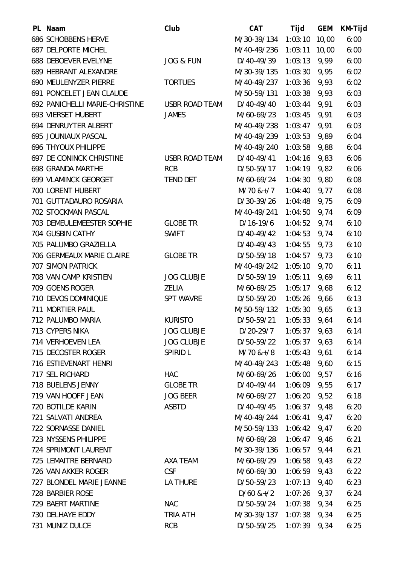| PL Naam                          | Club                  | <b>CAT</b>     | Tijd           | <b>GEM</b> | KM-Tijd |
|----------------------------------|-----------------------|----------------|----------------|------------|---------|
| <b>686 SCHOBBENS HERVE</b>       |                       | M/30-39/134    | 1:03:10        | 10,00      | 6:00    |
| <b>687 DELPORTE MICHEL</b>       |                       | M/40-49/236    | 1:03:11        | 10,00      | 6:00    |
| <b>688 DEBOEVER EVELYNE</b>      | <b>JOG &amp; FUN</b>  | D/40-49/39     | 1:03:13        | 9,99       | 6:00    |
| 689 HEBRANT ALEXANDRE            |                       | M/30-39/135    | 1:03:30        | 9,95       | 6:02    |
| 690 MEULENYZER PIERRE            | <b>TORTUES</b>        | M/40-49/237    | 1:03:36        | 9,93       | 6:02    |
| 691 PONCELET JEAN CLAUDE         |                       | M/50-59/131    | 1:03:38        | 9,93       | 6:03    |
| 692 PANICHELLI MARIE-CHRISTINE   | <b>USBR ROAD TEAM</b> | D/40-49/40     | 1:03:44        | 9,91       | 6:03    |
| 693 VIERSET HUBERT               | <b>JAMES</b>          | M/60-69/23     | 1:03:45        | 9,91       | 6:03    |
| 694 DENRUYTER ALBERT             |                       | M/40-49/238    | 1:03:47        | 9,91       | 6:03    |
| 695 JOUNIAUX PASCAL              |                       | M/40-49/239    | 1:03:53        | 9,89       | 6:04    |
| <b>696 THYOUX PHILIPPE</b>       |                       | M/40-49/240    | 1:03:58        | 9,88       | 6:04    |
| <b>697 DE CONINCK CHRISTINE</b>  | <b>USBR ROAD TEAM</b> | D/40-49/41     | 1:04:16        | 9,83       | 6:06    |
| <b>698 GRANDA MARTHE</b>         | <b>RCB</b>            | D/50-59/17     | 1:04:19        | 9,82       | 6:06    |
| <b>699 VLAMINCK GEORGET</b>      | <b>TEND DET</b>       | M/60-69/24     | 1:04:30        | 9,80       | 6:08    |
| 700 LORENT HUBERT                |                       | $M/70$ &+/7    | 1:04:40        | 9,77       | 6:08    |
| 701 GUTTADAURO ROSARIA           |                       | D/30-39/26     | 1:04:48        | 9,75       | 6:09    |
| 702 STOCKMAN PASCAL              |                       | M/40-49/241    | 1:04:50        | 9,74       | 6:09    |
| 703 DEMEULEMEESTER SOPHIE        | <b>GLOBE TR</b>       | $D/16-19/6$    | 1:04:52        | 9,74       | 6:10    |
| 704 GUSBIN CATHY                 | <b>SWIFT</b>          | D/40-49/42     | 1:04:53        | 9,74       | 6:10    |
| 705 PALUMBO GRAZIELLA            |                       | D/40-49/43     | 1:04:55        | 9,73       | 6:10    |
| <b>706 GERMEAUX MARIE CLAIRE</b> | <b>GLOBE TR</b>       | D/50-59/18     | 1:04:57        | 9,73       | 6:10    |
| <b>707 SIMON PATRICK</b>         |                       | M/40-49/242    | 1:05:10        | 9,70       | 6:11    |
| 708 VAN CAMP KRISTIEN            | <b>JOG CLUBJE</b>     | D/50-59/19     | 1:05:11        | 9,69       | 6:11    |
| 709 GOENS ROGER                  | <b>ZELIA</b>          | M/60-69/25     | 1:05:17        | 9,68       | 6:12    |
| 710 DEVOS DOMINIQUE              | <b>SPT WAVRE</b>      | D/50-59/20     | 1:05:26        | 9,66       | 6:13    |
| 711 MORTIER PAUL                 |                       | M/50-59/132    | 1:05:30        | 9,65       | 6:13    |
| 712 PALUMBO MARIA                | <b>KURISTO</b>        | D/50-59/21     | 1:05:33        | 9,64       | 6:14    |
| 713 CYPERS NIKA                  | <b>JOG CLUBJE</b>     | D/20-29/7      | 1:05:37        | 9,63       | 6:14    |
| 714 VERHOEVEN LEA                | <b>JOG CLUBJE</b>     | D/50-59/22     | 1:05:37        | 9,63       | 6:14    |
| 715 DECOSTER ROGER               | SPIRID L              | $M/70$ &+/8    | 1:05:43        | 9,61       | 6:14    |
| 716 ESTIEVENART HENRI            |                       | M/40-49/243    | 1:05:48        | 9,60       | 6:15    |
| 717 SEL RICHARD                  | <b>HAC</b>            | M/60-69/26     | 1:06:00        | 9,57       | 6:16    |
| 718 BUELENS JENNY                | <b>GLOBE TR</b>       | D/40-49/44     | 1:06:09        | 9,55       | 6:17    |
| 719 VAN HOOFF JEAN               | <b>JOG BEER</b>       | M/60-69/27     | 1:06:20        | 9,52       | 6:18    |
| 720 BOTILDE KARIN                | <b>ASBTD</b>          | D/40-49/45     | 1:06:37        | 9,48       | 6:20    |
| 721 SALVATI ANDREA               |                       | M/40-49/244    | 1:06:41        | 9,47       | 6:20    |
| 722 SORNASSE DANIEL              |                       | M/50-59/133    | 1:06:42        | 9,47       | 6:20    |
| 723 NYSSENS PHILIPPE             |                       | M/60-69/28     | 1:06:47        | 9,46       | 6:21    |
| 724 SPRIMONT LAURENT             |                       | M/30-39/136    | 1:06:57        | 9,44       | 6:21    |
| 725 LEMAITRE BERNARD             | AXA TEAM              | M/60-69/29     | 1:06:58        | 9,43       | 6:22    |
| 726 VAN AKKER ROGER              | <b>CSF</b>            | M/60-69/30     | 1:06:59        | 9,43       | 6:22    |
| 727 BLONDEL MARIE JEANNE         | LA THURE              | D/50-59/23     | 1:07:13        | 9,40       | 6:23    |
| 728 BARBIER ROSE                 |                       | $D/60$ &+ $/2$ | $1:07:26$ 9,37 |            | 6:24    |
| 729 BAERT MARTINE                | <b>NAC</b>            | D/50-59/24     | 1:07:38        | 9,34       | 6:25    |
| 730 DELHAYE EDDY                 | TRIA ATH              | M/30-39/137    | $1:07:38$ 9,34 |            | 6:25    |
| 731 MUNIZ DULCE                  | <b>RCB</b>            | D/50-59/25     | 1:07:39        | 9,34       | 6:25    |